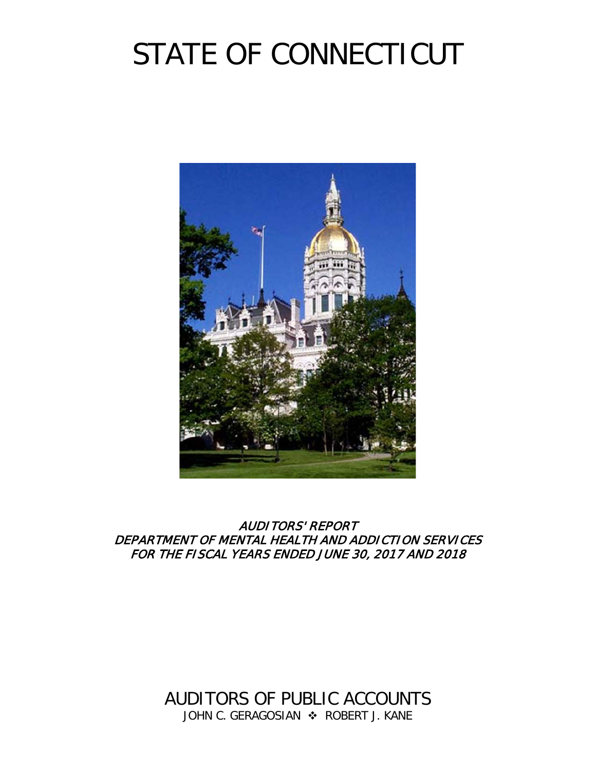# STATE OF CONNECTICUT



AUDITORS' REPORT DEPARTMENT OF MENTAL HEALTH AND ADDICTION SERVICES FOR THE FISCAL YEARS ENDED JUNE 30, 2017 AND 2018

> AUDITORS OF PUBLIC ACCOUNTS JOHN C. GERAGOSIAN  $\cdot$  ROBERT J. KANE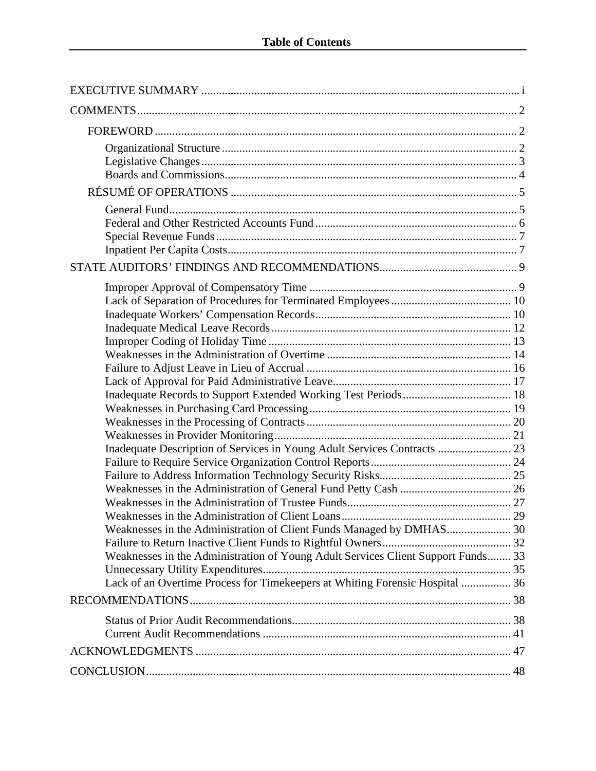| Inadequate Description of Services in Young Adult Services Contracts  23<br>Weaknesses in the Administration of Young Adult Services Client Support Funds 33<br>Lack of an Overtime Process for Timekeepers at Whiting Forensic Hospital  36 |  |
|----------------------------------------------------------------------------------------------------------------------------------------------------------------------------------------------------------------------------------------------|--|
|                                                                                                                                                                                                                                              |  |
|                                                                                                                                                                                                                                              |  |
|                                                                                                                                                                                                                                              |  |
|                                                                                                                                                                                                                                              |  |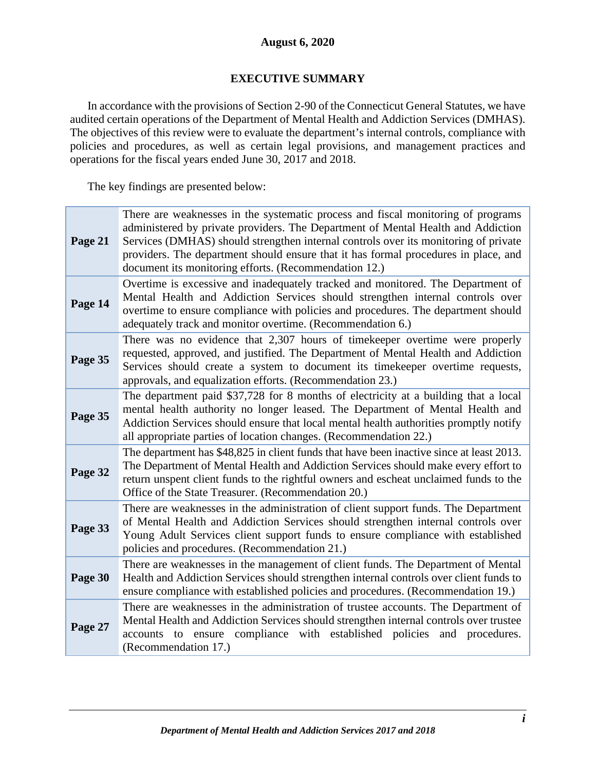# **August 6, 2020**

# **EXECUTIVE SUMMARY**

<span id="page-2-0"></span>In accordance with the provisions of Section 2-90 of the Connecticut General Statutes, we have audited certain operations of the Department of Mental Health and Addiction Services (DMHAS). The objectives of this review were to evaluate the department's internal controls, compliance with policies and procedures, as well as certain legal provisions, and management practices and operations for the fiscal years ended June 30, 2017 and 2018.

The key findings are presented below:

| Page 21 | There are weaknesses in the systematic process and fiscal monitoring of programs<br>administered by private providers. The Department of Mental Health and Addiction<br>Services (DMHAS) should strengthen internal controls over its monitoring of private<br>providers. The department should ensure that it has formal procedures in place, and<br>document its monitoring efforts. (Recommendation 12.) |
|---------|-------------------------------------------------------------------------------------------------------------------------------------------------------------------------------------------------------------------------------------------------------------------------------------------------------------------------------------------------------------------------------------------------------------|
| Page 14 | Overtime is excessive and inadequately tracked and monitored. The Department of<br>Mental Health and Addiction Services should strengthen internal controls over<br>overtime to ensure compliance with policies and procedures. The department should<br>adequately track and monitor overtime. (Recommendation 6.)                                                                                         |
| Page 35 | There was no evidence that 2,307 hours of time keeper overtime were properly<br>requested, approved, and justified. The Department of Mental Health and Addiction<br>Services should create a system to document its timekeeper overtime requests,<br>approvals, and equalization efforts. (Recommendation 23.)                                                                                             |
| Page 35 | The department paid \$37,728 for 8 months of electricity at a building that a local<br>mental health authority no longer leased. The Department of Mental Health and<br>Addiction Services should ensure that local mental health authorities promptly notify<br>all appropriate parties of location changes. (Recommendation 22.)                                                                          |
| Page 32 | The department has \$48,825 in client funds that have been inactive since at least 2013.<br>The Department of Mental Health and Addiction Services should make every effort to<br>return unspent client funds to the rightful owners and escheat unclaimed funds to the<br>Office of the State Treasurer. (Recommendation 20.)                                                                              |
| Page 33 | There are weaknesses in the administration of client support funds. The Department<br>of Mental Health and Addiction Services should strengthen internal controls over<br>Young Adult Services client support funds to ensure compliance with established<br>policies and procedures. (Recommendation 21.)                                                                                                  |
| Page 30 | There are weaknesses in the management of client funds. The Department of Mental<br>Health and Addiction Services should strengthen internal controls over client funds to<br>ensure compliance with established policies and procedures. (Recommendation 19.)                                                                                                                                              |
| Page 27 | There are weaknesses in the administration of trustee accounts. The Department of<br>Mental Health and Addiction Services should strengthen internal controls over trustee<br>accounts to ensure compliance with established policies and procedures.<br>(Recommendation 17.)                                                                                                                               |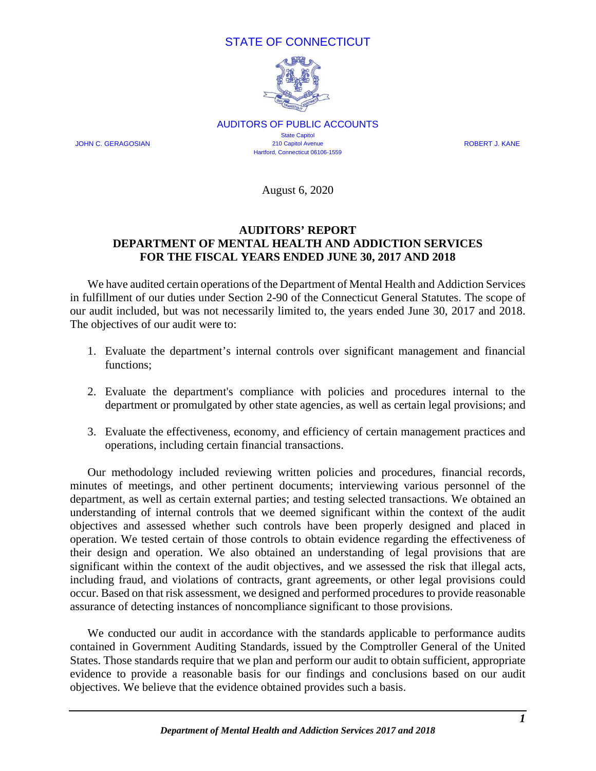# STATE OF CONNECTICUT



AUDITORS OF PUBLIC ACCOUNTS **State Capitol** JOHN C. GERAGOSIAN 210 Capitol Avenue ROBERT J. KANE Hartford, Connecticut 06106-1559

August 6, 2020

# **AUDITORS' REPORT DEPARTMENT OF MENTAL HEALTH AND ADDICTION SERVICES FOR THE FISCAL YEARS ENDED JUNE 30, 2017 AND 2018**

We have audited certain operations of the Department of Mental Health and Addiction Services in fulfillment of our duties under Section 2-90 of the Connecticut General Statutes. The scope of our audit included, but was not necessarily limited to, the years ended June 30, 2017 and 2018. The objectives of our audit were to:

- 1. Evaluate the department's internal controls over significant management and financial functions;
- 2. Evaluate the department's compliance with policies and procedures internal to the department or promulgated by other state agencies, as well as certain legal provisions; and
- 3. Evaluate the effectiveness, economy, and efficiency of certain management practices and operations, including certain financial transactions.

Our methodology included reviewing written policies and procedures, financial records, minutes of meetings, and other pertinent documents; interviewing various personnel of the department, as well as certain external parties; and testing selected transactions. We obtained an understanding of internal controls that we deemed significant within the context of the audit objectives and assessed whether such controls have been properly designed and placed in operation. We tested certain of those controls to obtain evidence regarding the effectiveness of their design and operation. We also obtained an understanding of legal provisions that are significant within the context of the audit objectives, and we assessed the risk that illegal acts, including fraud, and violations of contracts, grant agreements, or other legal provisions could occur. Based on that risk assessment, we designed and performed procedures to provide reasonable assurance of detecting instances of noncompliance significant to those provisions.

We conducted our audit in accordance with the standards applicable to performance audits contained in Government Auditing Standards, issued by the Comptroller General of the United States. Those standards require that we plan and perform our audit to obtain sufficient, appropriate evidence to provide a reasonable basis for our findings and conclusions based on our audit objectives. We believe that the evidence obtained provides such a basis.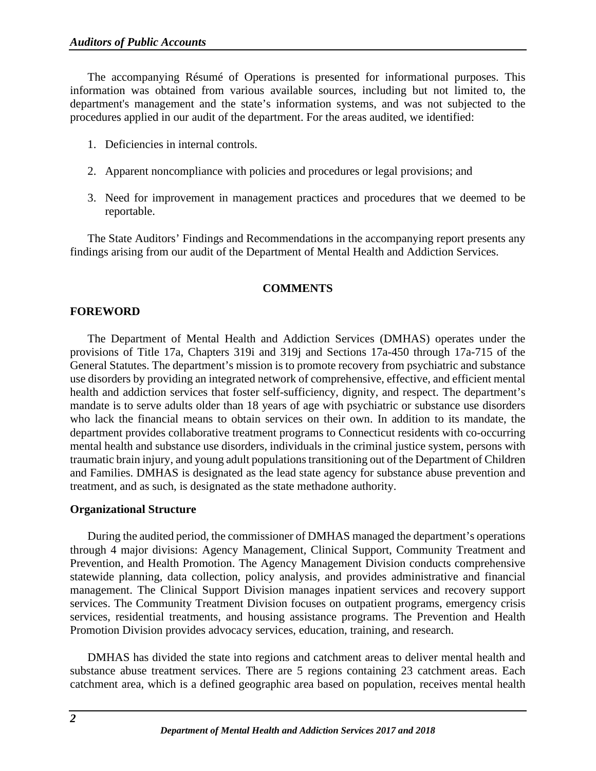The accompanying Résumé of Operations is presented for informational purposes. This information was obtained from various available sources, including but not limited to, the department's management and the state's information systems, and was not subjected to the procedures applied in our audit of the department. For the areas audited, we identified:

- 1. Deficiencies in internal controls.
- 2. Apparent noncompliance with policies and procedures or legal provisions; and
- 3. Need for improvement in management practices and procedures that we deemed to be reportable.

<span id="page-4-0"></span>The State Auditors' Findings and Recommendations in the accompanying report presents any findings arising from our audit of the Department of Mental Health and Addiction Services.

# **COMMENTS**

# <span id="page-4-1"></span>**FOREWORD**

The Department of Mental Health and Addiction Services (DMHAS) operates under the provisions of Title 17a, Chapters 319i and 319j and Sections 17a-450 through 17a-715 of the General Statutes. The department's mission is to promote recovery from psychiatric and substance use disorders by providing an integrated network of comprehensive, effective, and efficient mental health and addiction services that foster self-sufficiency, dignity, and respect. The department's mandate is to serve adults older than 18 years of age with psychiatric or substance use disorders who lack the financial means to obtain services on their own. In addition to its mandate, the department provides collaborative treatment programs to Connecticut residents with co-occurring mental health and substance use disorders, individuals in the criminal justice system, persons with traumatic brain injury, and young adult populations transitioning out of the Department of Children and Families. DMHAS is designated as the lead state agency for substance abuse prevention and treatment, and as such, is designated as the state methadone authority.

#### <span id="page-4-2"></span>**Organizational Structure**

During the audited period, the commissioner of DMHAS managed the department's operations through 4 major divisions: Agency Management, Clinical Support, Community Treatment and Prevention, and Health Promotion. The Agency Management Division conducts comprehensive statewide planning, data collection, policy analysis, and provides administrative and financial management. The Clinical Support Division manages inpatient services and recovery support services. The Community Treatment Division focuses on outpatient programs, emergency crisis services, residential treatments, and housing assistance programs. The Prevention and Health Promotion Division provides advocacy services, education, training, and research.

DMHAS has divided the state into regions and catchment areas to deliver mental health and substance abuse treatment services. There are 5 regions containing 23 catchment areas. Each catchment area, which is a defined geographic area based on population, receives mental health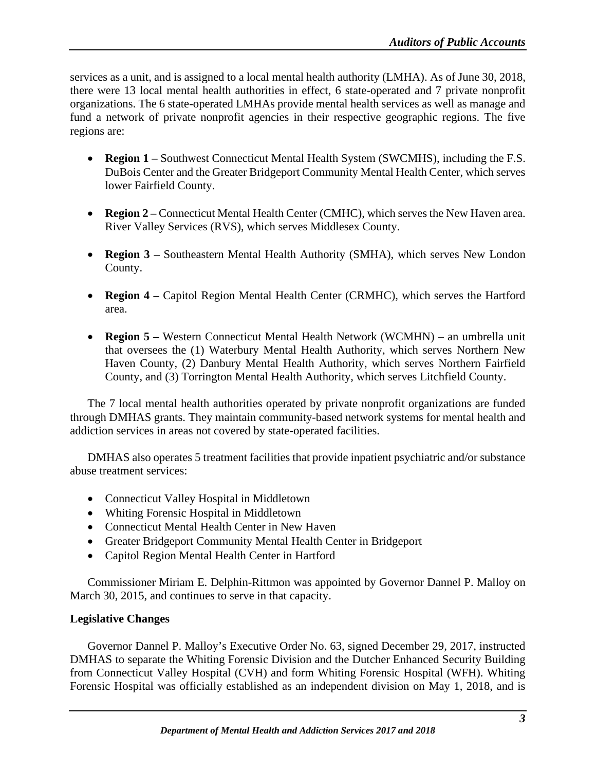services as a unit, and is assigned to a local mental health authority (LMHA). As of June 30, 2018, there were 13 local mental health authorities in effect, 6 state-operated and 7 private nonprofit organizations. The 6 state-operated LMHAs provide mental health services as well as manage and fund a network of private nonprofit agencies in their respective geographic regions. The five regions are:

- **Region 1** Southwest Connecticut Mental Health System (SWCMHS), including the F.S. DuBois Center and the Greater Bridgeport Community Mental Health Center, which serves lower Fairfield County.
- **Region 2** Connecticut Mental Health Center (CMHC), which serves the New Haven area. River Valley Services (RVS), which serves Middlesex County.
- **Region 3 –** Southeastern Mental Health Authority (SMHA), which serves New London County.
- **Region 4 –** Capitol Region Mental Health Center (CRMHC), which serves the Hartford area.
- **Region 5 –** Western Connecticut Mental Health Network (WCMHN) an umbrella unit that oversees the (1) Waterbury Mental Health Authority, which serves Northern New Haven County, (2) Danbury Mental Health Authority, which serves Northern Fairfield County, and (3) Torrington Mental Health Authority, which serves Litchfield County.

The 7 local mental health authorities operated by private nonprofit organizations are funded through DMHAS grants. They maintain community-based network systems for mental health and addiction services in areas not covered by state-operated facilities.

DMHAS also operates 5 treatment facilities that provide inpatient psychiatric and/or substance abuse treatment services:

- Connecticut Valley Hospital in Middletown
- Whiting Forensic Hospital in Middletown
- Connecticut Mental Health Center in New Haven
- Greater Bridgeport Community Mental Health Center in Bridgeport
- Capitol Region Mental Health Center in Hartford

Commissioner Miriam E. Delphin-Rittmon was appointed by Governor Dannel P. Malloy on March 30, 2015, and continues to serve in that capacity.

# <span id="page-5-0"></span>**Legislative Changes**

Governor Dannel P. Malloy's Executive Order No. 63, signed December 29, 2017, instructed DMHAS to separate the Whiting Forensic Division and the Dutcher Enhanced Security Building from Connecticut Valley Hospital (CVH) and form Whiting Forensic Hospital (WFH). Whiting Forensic Hospital was officially established as an independent division on May 1, 2018, and is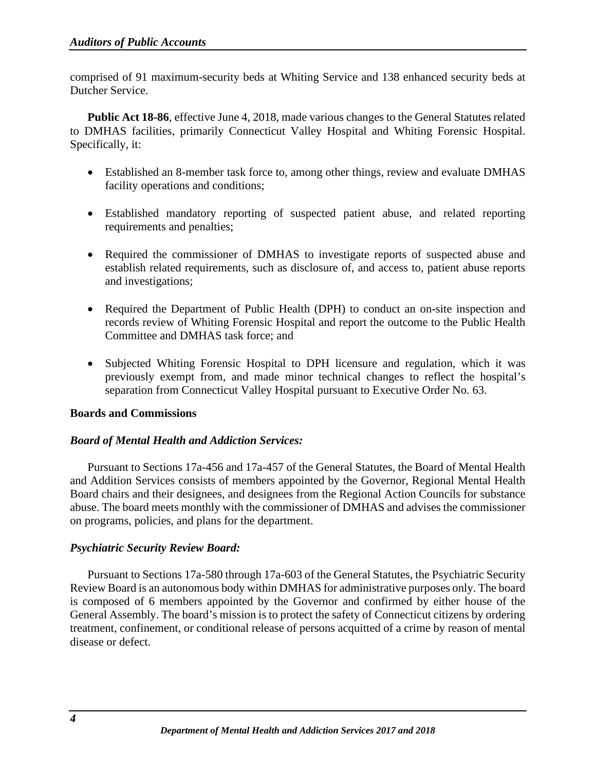comprised of 91 maximum-security beds at Whiting Service and 138 enhanced security beds at Dutcher Service.

**Public Act 18-86**, effective June 4, 2018, made various changes to the General Statutes related to DMHAS facilities, primarily Connecticut Valley Hospital and Whiting Forensic Hospital. Specifically, it:

- Established an 8-member task force to, among other things, review and evaluate DMHAS facility operations and conditions;
- Established mandatory reporting of suspected patient abuse, and related reporting requirements and penalties;
- Required the commissioner of DMHAS to investigate reports of suspected abuse and establish related requirements, such as disclosure of, and access to, patient abuse reports and investigations;
- Required the Department of Public Health (DPH) to conduct an on-site inspection and records review of Whiting Forensic Hospital and report the outcome to the Public Health Committee and DMHAS task force; and
- Subjected Whiting Forensic Hospital to DPH licensure and regulation, which it was previously exempt from, and made minor technical changes to reflect the hospital's separation from Connecticut Valley Hospital pursuant to Executive Order No. 63.

#### <span id="page-6-0"></span>**Boards and Commissions**

#### *Board of Mental Health and Addiction Services:*

Pursuant to Sections 17a-456 and 17a-457 of the General Statutes, the Board of Mental Health and Addition Services consists of members appointed by the Governor, Regional Mental Health Board chairs and their designees, and designees from the Regional Action Councils for substance abuse. The board meets monthly with the commissioner of DMHAS and advises the commissioner on programs, policies, and plans for the department.

# *Psychiatric Security Review Board:*

Pursuant to Sections 17a-580 through 17a-603 of the General Statutes, the Psychiatric Security Review Board is an autonomous body within DMHAS for administrative purposes only. The board is composed of 6 members appointed by the Governor and confirmed by either house of the General Assembly. The board's mission is to protect the safety of Connecticut citizens by ordering treatment, confinement, or conditional release of persons acquitted of a crime by reason of mental disease or defect.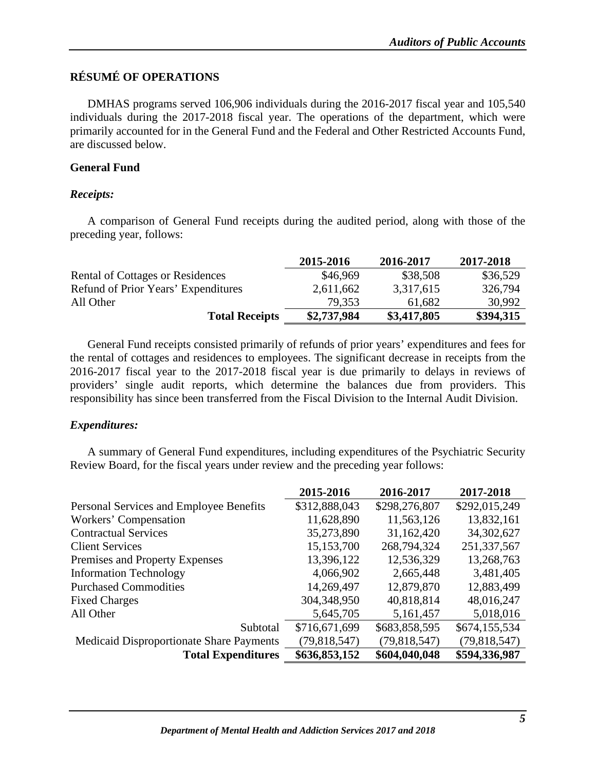# <span id="page-7-0"></span>**RÉSUMÉ OF OPERATIONS**

DMHAS programs served 106,906 individuals during the 2016-2017 fiscal year and 105,540 individuals during the 2017-2018 fiscal year. The operations of the department, which were primarily accounted for in the General Fund and the Federal and Other Restricted Accounts Fund, are discussed below.

# <span id="page-7-1"></span>**General Fund**

## *Receipts:*

A comparison of General Fund receipts during the audited period, along with those of the preceding year, follows:

|                                         | 2015-2016   | 2016-2017   | 2017-2018 |
|-----------------------------------------|-------------|-------------|-----------|
| <b>Rental of Cottages or Residences</b> | \$46,969    | \$38,508    | \$36,529  |
| Refund of Prior Years' Expenditures     | 2,611,662   | 3,317,615   | 326,794   |
| All Other                               | 79.353      | 61,682      | 30,992    |
| <b>Total Receipts</b>                   | \$2,737,984 | \$3,417,805 | \$394,315 |

General Fund receipts consisted primarily of refunds of prior years' expenditures and fees for the rental of cottages and residences to employees. The significant decrease in receipts from the 2016-2017 fiscal year to the 2017-2018 fiscal year is due primarily to delays in reviews of providers' single audit reports, which determine the balances due from providers. This responsibility has since been transferred from the Fiscal Division to the Internal Audit Division.

#### *Expenditures:*

A summary of General Fund expenditures, including expenditures of the Psychiatric Security Review Board, for the fiscal years under review and the preceding year follows:

|                                          | 2015-2016     | 2016-2017     | 2017-2018     |
|------------------------------------------|---------------|---------------|---------------|
| Personal Services and Employee Benefits  | \$312,888,043 | \$298,276,807 | \$292,015,249 |
| Workers' Compensation                    | 11,628,890    | 11,563,126    | 13,832,161    |
| <b>Contractual Services</b>              | 35,273,890    | 31,162,420    | 34, 302, 627  |
| <b>Client Services</b>                   | 15,153,700    | 268,794,324   | 251,337,567   |
| Premises and Property Expenses           | 13,396,122    | 12,536,329    | 13,268,763    |
| <b>Information Technology</b>            | 4,066,902     | 2,665,448     | 3,481,405     |
| <b>Purchased Commodities</b>             | 14,269,497    | 12,879,870    | 12,883,499    |
| <b>Fixed Charges</b>                     | 304,348,950   | 40,818,814    | 48,016,247    |
| All Other                                | 5,645,705     | 5,161,457     | 5,018,016     |
| Subtotal                                 | \$716,671,699 | \$683,858,595 | \$674,155,534 |
| Medicaid Disproportionate Share Payments | (79,818,547)  | (79,818,547)  | (79,818,547)  |
| <b>Total Expenditures</b>                | \$636,853,152 | \$604,040,048 | \$594,336,987 |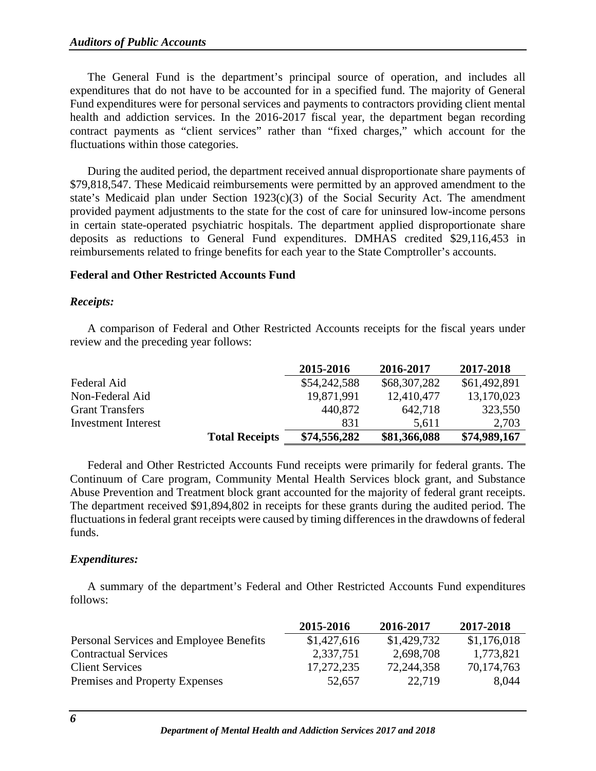The General Fund is the department's principal source of operation, and includes all expenditures that do not have to be accounted for in a specified fund. The majority of General Fund expenditures were for personal services and payments to contractors providing client mental health and addiction services. In the 2016-2017 fiscal year, the department began recording contract payments as "client services" rather than "fixed charges," which account for the fluctuations within those categories.

During the audited period, the department received annual disproportionate share payments of \$79,818,547. These Medicaid reimbursements were permitted by an approved amendment to the state's Medicaid plan under Section 1923(c)(3) of the Social Security Act. The amendment provided payment adjustments to the state for the cost of care for uninsured low-income persons in certain state-operated psychiatric hospitals. The department applied disproportionate share deposits as reductions to General Fund expenditures. DMHAS credited \$29,116,453 in reimbursements related to fringe benefits for each year to the State Comptroller's accounts.

#### <span id="page-8-0"></span>**Federal and Other Restricted Accounts Fund**

#### *Receipts:*

A comparison of Federal and Other Restricted Accounts receipts for the fiscal years under review and the preceding year follows:

|                            |                       | 2015-2016    | 2016-2017    | 2017-2018    |
|----------------------------|-----------------------|--------------|--------------|--------------|
| Federal Aid                |                       | \$54,242,588 | \$68,307,282 | \$61,492,891 |
| Non-Federal Aid            |                       | 19,871,991   | 12,410,477   | 13,170,023   |
| <b>Grant Transfers</b>     |                       | 440,872      | 642,718      | 323,550      |
| <b>Investment Interest</b> |                       | 831          | 5,611        | 2,703        |
|                            | <b>Total Receipts</b> | \$74,556,282 | \$81,366,088 | \$74,989,167 |

Federal and Other Restricted Accounts Fund receipts were primarily for federal grants. The Continuum of Care program, Community Mental Health Services block grant, and Substance Abuse Prevention and Treatment block grant accounted for the majority of federal grant receipts. The department received \$91,894,802 in receipts for these grants during the audited period. The fluctuations in federal grant receipts were caused by timing differences in the drawdowns of federal funds.

# *Expenditures:*

A summary of the department's Federal and Other Restricted Accounts Fund expenditures follows:

|                                         | 2015-2016   | 2016-2017   | 2017-2018   |
|-----------------------------------------|-------------|-------------|-------------|
| Personal Services and Employee Benefits | \$1,427,616 | \$1,429,732 | \$1,176,018 |
| <b>Contractual Services</b>             | 2,337,751   | 2,698,708   | 1,773,821   |
| <b>Client Services</b>                  | 17,272,235  | 72,244,358  | 70,174,763  |
| Premises and Property Expenses          | 52,657      | 22,719      | 8.044       |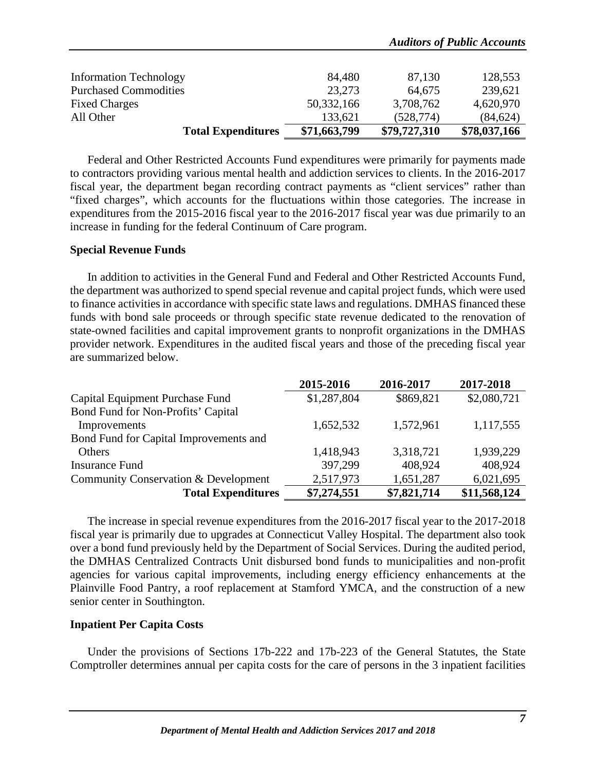|                               |              |              | <b>Auditors of Public Accounts</b> |
|-------------------------------|--------------|--------------|------------------------------------|
| <b>Information Technology</b> | 84,480       | 87,130       | 128,553                            |
| <b>Purchased Commodities</b>  | 23,273       | 64,675       | 239,621                            |
| <b>Fixed Charges</b>          | 50,332,166   | 3,708,762    | 4,620,970                          |
| All Other                     | 133,621      | (528, 774)   | (84, 624)                          |
| <b>Total Expenditures</b>     | \$71,663,799 | \$79,727,310 | \$78,037,166                       |

Federal and Other Restricted Accounts Fund expenditures were primarily for payments made to contractors providing various mental health and addiction services to clients. In the 2016-2017 fiscal year, the department began recording contract payments as "client services" rather than "fixed charges", which accounts for the fluctuations within those categories. The increase in expenditures from the 2015-2016 fiscal year to the 2016-2017 fiscal year was due primarily to an increase in funding for the federal Continuum of Care program.

#### <span id="page-9-0"></span>**Special Revenue Funds**

In addition to activities in the General Fund and Federal and Other Restricted Accounts Fund, the department was authorized to spend special revenue and capital project funds, which were used to finance activities in accordance with specific state laws and regulations. DMHAS financed these funds with bond sale proceeds or through specific state revenue dedicated to the renovation of state-owned facilities and capital improvement grants to nonprofit organizations in the DMHAS provider network. Expenditures in the audited fiscal years and those of the preceding fiscal year are summarized below.

|                                        | 2015-2016   | 2016-2017   | 2017-2018    |
|----------------------------------------|-------------|-------------|--------------|
| Capital Equipment Purchase Fund        | \$1,287,804 | \$869,821   | \$2,080,721  |
| Bond Fund for Non-Profits' Capital     |             |             |              |
| Improvements                           | 1,652,532   | 1,572,961   | 1,117,555    |
| Bond Fund for Capital Improvements and |             |             |              |
| <b>Others</b>                          | 1,418,943   | 3,318,721   | 1,939,229    |
| <b>Insurance Fund</b>                  | 397,299     | 408,924     | 408,924      |
| Community Conservation & Development   | 2,517,973   | 1,651,287   | 6,021,695    |
| <b>Total Expenditures</b>              | \$7,274,551 | \$7,821,714 | \$11,568,124 |

The increase in special revenue expenditures from the 2016-2017 fiscal year to the 2017-2018 fiscal year is primarily due to upgrades at Connecticut Valley Hospital. The department also took over a bond fund previously held by the Department of Social Services. During the audited period, the DMHAS Centralized Contracts Unit disbursed bond funds to municipalities and non-profit agencies for various capital improvements, including energy efficiency enhancements at the Plainville Food Pantry, a roof replacement at Stamford YMCA, and the construction of a new senior center in Southington.

#### <span id="page-9-1"></span>**Inpatient Per Capita Costs**

Under the provisions of Sections 17b-222 and 17b-223 of the General Statutes, the State Comptroller determines annual per capita costs for the care of persons in the 3 inpatient facilities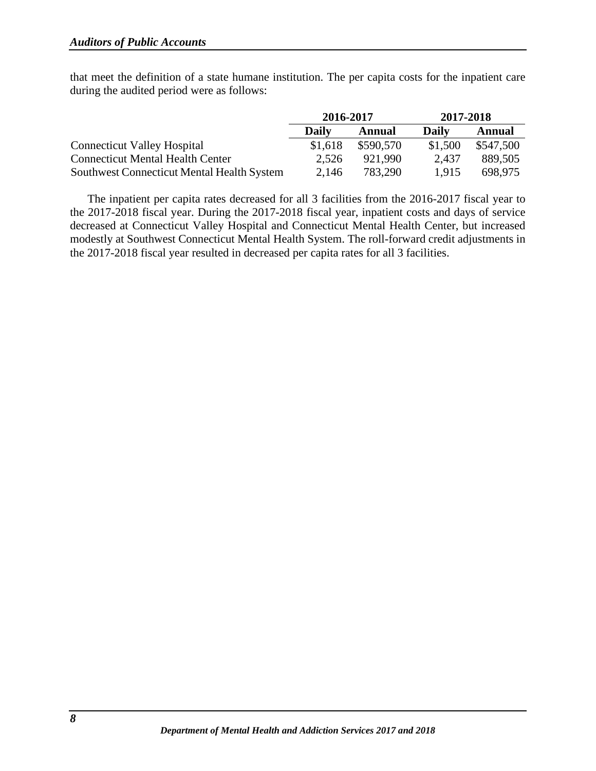that meet the definition of a state humane institution. The per capita costs for the inpatient care during the audited period were as follows:

|                                            | 2016-2017    |           | 2017-2018 |           |
|--------------------------------------------|--------------|-----------|-----------|-----------|
|                                            | <b>Daily</b> | Annual    | Daily     | Annual    |
| <b>Connecticut Valley Hospital</b>         | \$1,618      | \$590,570 | \$1,500   | \$547,500 |
| <b>Connecticut Mental Health Center</b>    | 2,526        | 921.990   | 2.437     | 889,505   |
| Southwest Connecticut Mental Health System | 2,146        | 783,290   | 1.915     | 698.975   |

The inpatient per capita rates decreased for all 3 facilities from the 2016-2017 fiscal year to the 2017-2018 fiscal year. During the 2017-2018 fiscal year, inpatient costs and days of service decreased at Connecticut Valley Hospital and Connecticut Mental Health Center, but increased modestly at Southwest Connecticut Mental Health System. The roll-forward credit adjustments in the 2017-2018 fiscal year resulted in decreased per capita rates for all 3 facilities.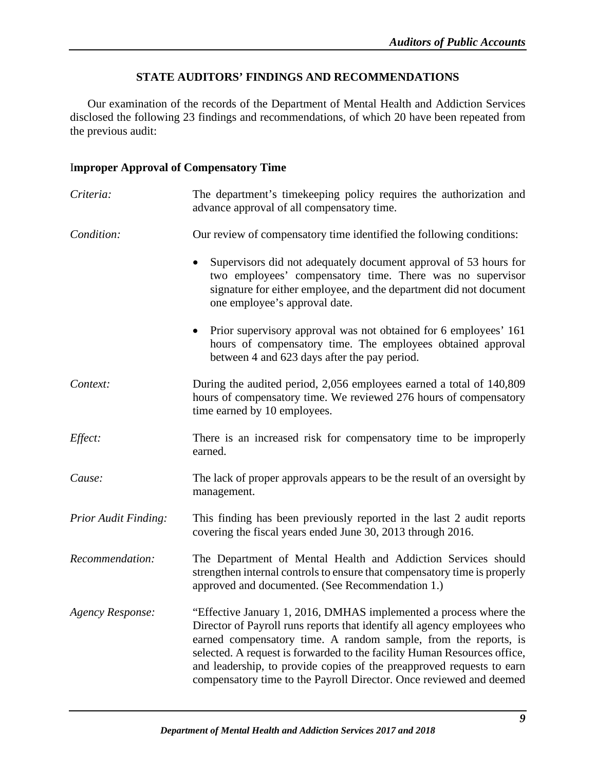# **STATE AUDITORS' FINDINGS AND RECOMMENDATIONS**

<span id="page-11-0"></span>Our examination of the records of the Department of Mental Health and Addiction Services disclosed the following 23 findings and recommendations, of which 20 have been repeated from the previous audit:

#### <span id="page-11-1"></span>I**mproper Approval of Compensatory Time**

| Criteria:                   | The department's timekeeping policy requires the authorization and<br>advance approval of all compensatory time.                                                                                                                                                                                                                                                                                                                            |
|-----------------------------|---------------------------------------------------------------------------------------------------------------------------------------------------------------------------------------------------------------------------------------------------------------------------------------------------------------------------------------------------------------------------------------------------------------------------------------------|
| Condition:                  | Our review of compensatory time identified the following conditions:                                                                                                                                                                                                                                                                                                                                                                        |
|                             | Supervisors did not adequately document approval of 53 hours for<br>two employees' compensatory time. There was no supervisor<br>signature for either employee, and the department did not document<br>one employee's approval date.                                                                                                                                                                                                        |
|                             | Prior supervisory approval was not obtained for 6 employees' 161<br>$\bullet$<br>hours of compensatory time. The employees obtained approval<br>between 4 and 623 days after the pay period.                                                                                                                                                                                                                                                |
| Context:                    | During the audited period, 2,056 employees earned a total of 140,809<br>hours of compensatory time. We reviewed 276 hours of compensatory<br>time earned by 10 employees.                                                                                                                                                                                                                                                                   |
| Effect:                     | There is an increased risk for compensatory time to be improperly<br>earned.                                                                                                                                                                                                                                                                                                                                                                |
| Cause:                      | The lack of proper approvals appears to be the result of an oversight by<br>management.                                                                                                                                                                                                                                                                                                                                                     |
| <b>Prior Audit Finding:</b> | This finding has been previously reported in the last 2 audit reports<br>covering the fiscal years ended June 30, 2013 through 2016.                                                                                                                                                                                                                                                                                                        |
| Recommendation:             | The Department of Mental Health and Addiction Services should<br>strengthen internal controls to ensure that compensatory time is properly<br>approved and documented. (See Recommendation 1.)                                                                                                                                                                                                                                              |
| <b>Agency Response:</b>     | "Effective January 1, 2016, DMHAS implemented a process where the<br>Director of Payroll runs reports that identify all agency employees who<br>earned compensatory time. A random sample, from the reports, is<br>selected. A request is forwarded to the facility Human Resources office,<br>and leadership, to provide copies of the preapproved requests to earn<br>compensatory time to the Payroll Director. Once reviewed and deemed |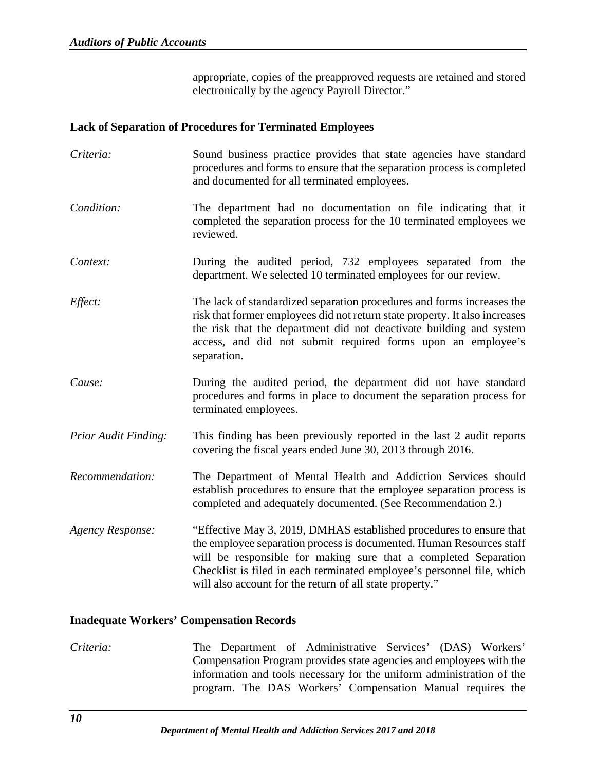appropriate, copies of the preapproved requests are retained and stored electronically by the agency Payroll Director."

#### <span id="page-12-0"></span>**Lack of Separation of Procedures for Terminated Employees**

*Criteria:* Sound business practice provides that state agencies have standard procedures and forms to ensure that the separation process is completed and documented for all terminated employees. *Condition:* The department had no documentation on file indicating that it completed the separation process for the 10 terminated employees we reviewed. *Context:* During the audited period, 732 employees separated from the department. We selected 10 terminated employees for our review. *Effect:* The lack of standardized separation procedures and forms increases the risk that former employees did not return state property. It also increases the risk that the department did not deactivate building and system access, and did not submit required forms upon an employee's separation. *Cause:* During the audited period, the department did not have standard procedures and forms in place to document the separation process for terminated employees. *Prior Audit Finding:* This finding has been previously reported in the last 2 audit reports covering the fiscal years ended June 30, 2013 through 2016. *Recommendation:* The Department of Mental Health and Addiction Services should establish procedures to ensure that the employee separation process is completed and adequately documented. (See Recommendation 2.) *Agency Response:* "Effective May 3, 2019, DMHAS established procedures to ensure that the employee separation process is documented. Human Resources staff will be responsible for making sure that a completed Separation Checklist is filed in each terminated employee's personnel file, which will also account for the return of all state property."

#### <span id="page-12-1"></span>**Inadequate Workers' Compensation Records**

*Criteria:* The Department of Administrative Services' (DAS) Workers' Compensation Program provides state agencies and employees with the information and tools necessary for the uniform administration of the program. The DAS Workers' Compensation Manual requires the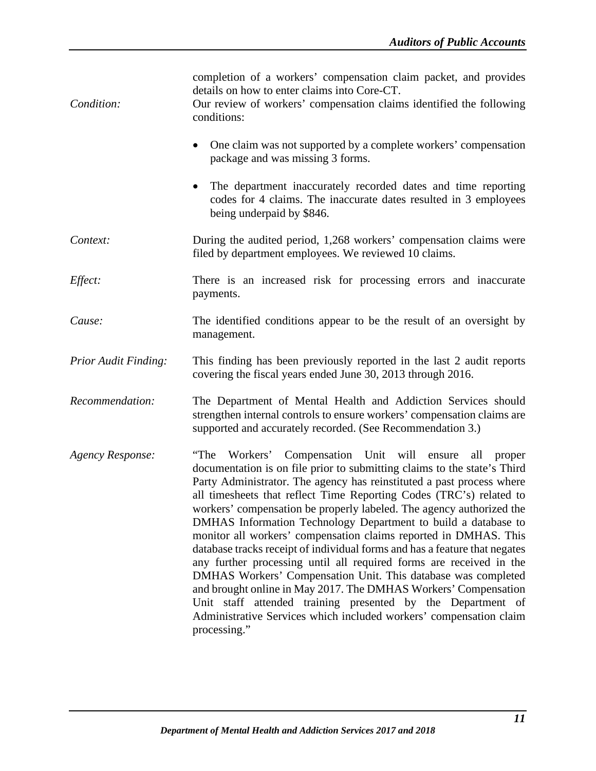| Condition:                  | completion of a workers' compensation claim packet, and provides<br>details on how to enter claims into Core-CT.<br>Our review of workers' compensation claims identified the following<br>conditions:                                                                                                                                                                                                                                                                                                                                                                                                                                                                                                                                                                                                                                                                                                                                               |
|-----------------------------|------------------------------------------------------------------------------------------------------------------------------------------------------------------------------------------------------------------------------------------------------------------------------------------------------------------------------------------------------------------------------------------------------------------------------------------------------------------------------------------------------------------------------------------------------------------------------------------------------------------------------------------------------------------------------------------------------------------------------------------------------------------------------------------------------------------------------------------------------------------------------------------------------------------------------------------------------|
|                             | One claim was not supported by a complete workers' compensation<br>package and was missing 3 forms.                                                                                                                                                                                                                                                                                                                                                                                                                                                                                                                                                                                                                                                                                                                                                                                                                                                  |
|                             | The department inaccurately recorded dates and time reporting<br>codes for 4 claims. The inaccurate dates resulted in 3 employees<br>being underpaid by \$846.                                                                                                                                                                                                                                                                                                                                                                                                                                                                                                                                                                                                                                                                                                                                                                                       |
| Context:                    | During the audited period, 1,268 workers' compensation claims were<br>filed by department employees. We reviewed 10 claims.                                                                                                                                                                                                                                                                                                                                                                                                                                                                                                                                                                                                                                                                                                                                                                                                                          |
| Effect:                     | There is an increased risk for processing errors and inaccurate<br>payments.                                                                                                                                                                                                                                                                                                                                                                                                                                                                                                                                                                                                                                                                                                                                                                                                                                                                         |
| Cause:                      | The identified conditions appear to be the result of an oversight by<br>management.                                                                                                                                                                                                                                                                                                                                                                                                                                                                                                                                                                                                                                                                                                                                                                                                                                                                  |
| <b>Prior Audit Finding:</b> | This finding has been previously reported in the last 2 audit reports<br>covering the fiscal years ended June 30, 2013 through 2016.                                                                                                                                                                                                                                                                                                                                                                                                                                                                                                                                                                                                                                                                                                                                                                                                                 |
| Recommendation:             | The Department of Mental Health and Addiction Services should<br>strengthen internal controls to ensure workers' compensation claims are<br>supported and accurately recorded. (See Recommendation 3.)                                                                                                                                                                                                                                                                                                                                                                                                                                                                                                                                                                                                                                                                                                                                               |
| <b>Agency Response:</b>     | "The Workers' Compensation Unit will ensure<br>all<br>proper<br>documentation is on file prior to submitting claims to the state's Third<br>Party Administrator. The agency has reinstituted a past process where<br>all timesheets that reflect Time Reporting Codes (TRC's) related to<br>workers' compensation be properly labeled. The agency authorized the<br>DMHAS Information Technology Department to build a database to<br>monitor all workers' compensation claims reported in DMHAS. This<br>database tracks receipt of individual forms and has a feature that negates<br>any further processing until all required forms are received in the<br>DMHAS Workers' Compensation Unit. This database was completed<br>and brought online in May 2017. The DMHAS Workers' Compensation<br>Unit staff attended training presented by the Department of<br>Administrative Services which included workers' compensation claim<br>processing." |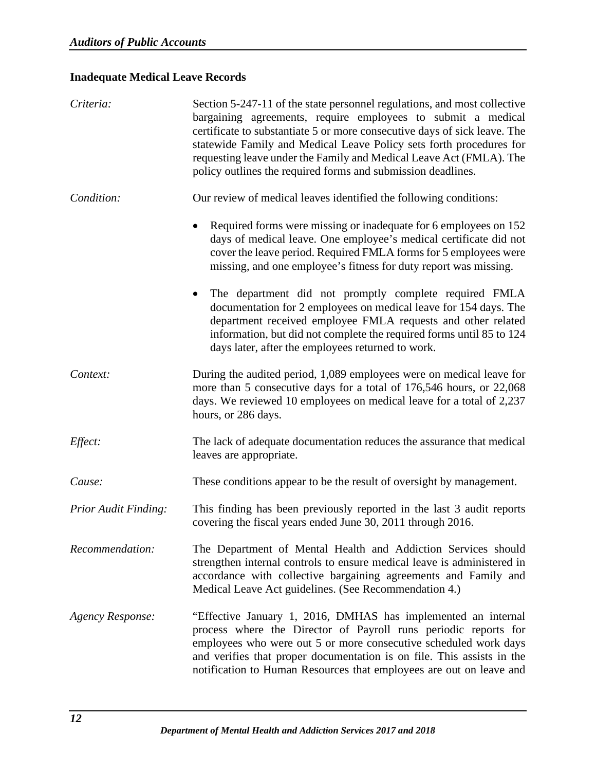# <span id="page-14-0"></span>**Inadequate Medical Leave Records**

| Criteria:                   | Section 5-247-11 of the state personnel regulations, and most collective<br>bargaining agreements, require employees to submit a medical<br>certificate to substantiate 5 or more consecutive days of sick leave. The<br>statewide Family and Medical Leave Policy sets forth procedures for<br>requesting leave under the Family and Medical Leave Act (FMLA). The<br>policy outlines the required forms and submission deadlines. |
|-----------------------------|-------------------------------------------------------------------------------------------------------------------------------------------------------------------------------------------------------------------------------------------------------------------------------------------------------------------------------------------------------------------------------------------------------------------------------------|
| Condition:                  | Our review of medical leaves identified the following conditions:                                                                                                                                                                                                                                                                                                                                                                   |
|                             | Required forms were missing or inadequate for 6 employees on 152<br>days of medical leave. One employee's medical certificate did not<br>cover the leave period. Required FMLA forms for 5 employees were<br>missing, and one employee's fitness for duty report was missing.                                                                                                                                                       |
|                             | The department did not promptly complete required FMLA<br>$\bullet$<br>documentation for 2 employees on medical leave for 154 days. The<br>department received employee FMLA requests and other related<br>information, but did not complete the required forms until 85 to 124<br>days later, after the employees returned to work.                                                                                                |
| Context:                    | During the audited period, 1,089 employees were on medical leave for<br>more than 5 consecutive days for a total of 176,546 hours, or 22,068<br>days. We reviewed 10 employees on medical leave for a total of 2,237<br>hours, or 286 days.                                                                                                                                                                                         |
| Effect:                     | The lack of adequate documentation reduces the assurance that medical<br>leaves are appropriate.                                                                                                                                                                                                                                                                                                                                    |
| Cause:                      | These conditions appear to be the result of oversight by management.                                                                                                                                                                                                                                                                                                                                                                |
| <b>Prior Audit Finding:</b> | This finding has been previously reported in the last 3 audit reports<br>covering the fiscal years ended June 30, 2011 through 2016.                                                                                                                                                                                                                                                                                                |
| Recommendation:             | The Department of Mental Health and Addiction Services should<br>strengthen internal controls to ensure medical leave is administered in<br>accordance with collective bargaining agreements and Family and<br>Medical Leave Act guidelines. (See Recommendation 4.)                                                                                                                                                                |
| <b>Agency Response:</b>     | "Effective January 1, 2016, DMHAS has implemented an internal<br>process where the Director of Payroll runs periodic reports for<br>employees who were out 5 or more consecutive scheduled work days<br>and verifies that proper documentation is on file. This assists in the<br>notification to Human Resources that employees are out on leave and                                                                               |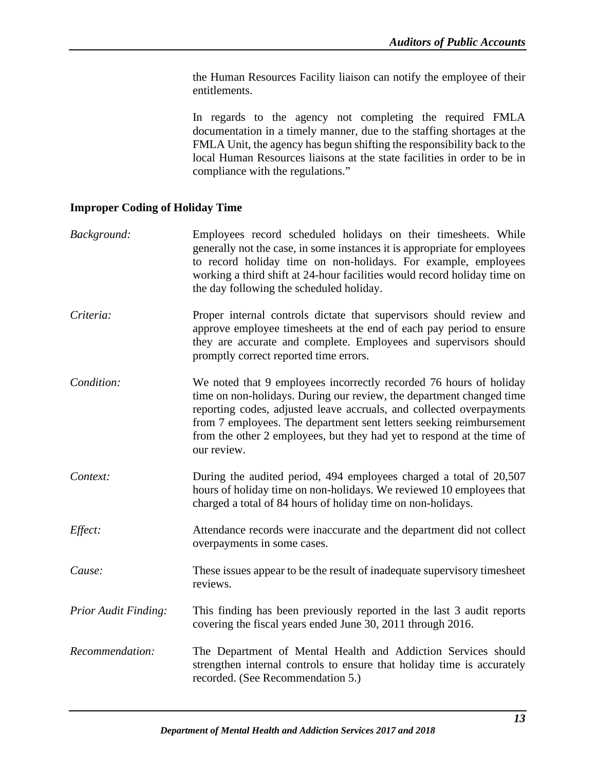the Human Resources Facility liaison can notify the employee of their entitlements.

In regards to the agency not completing the required FMLA documentation in a timely manner, due to the staffing shortages at the FMLA Unit, the agency has begun shifting the responsibility back to the local Human Resources liaisons at the state facilities in order to be in compliance with the regulations."

# <span id="page-15-0"></span>**Improper Coding of Holiday Time**

| Background:                 | Employees record scheduled holidays on their timesheets. While<br>generally not the case, in some instances it is appropriate for employees<br>to record holiday time on non-holidays. For example, employees<br>working a third shift at 24-hour facilities would record holiday time on<br>the day following the scheduled holiday.                                              |
|-----------------------------|------------------------------------------------------------------------------------------------------------------------------------------------------------------------------------------------------------------------------------------------------------------------------------------------------------------------------------------------------------------------------------|
| Criteria:                   | Proper internal controls dictate that supervisors should review and<br>approve employee timesheets at the end of each pay period to ensure<br>they are accurate and complete. Employees and supervisors should<br>promptly correct reported time errors.                                                                                                                           |
| Condition:                  | We noted that 9 employees incorrectly recorded 76 hours of holiday<br>time on non-holidays. During our review, the department changed time<br>reporting codes, adjusted leave accruals, and collected overpayments<br>from 7 employees. The department sent letters seeking reimbursement<br>from the other 2 employees, but they had yet to respond at the time of<br>our review. |
| Context:                    | During the audited period, 494 employees charged a total of 20,507<br>hours of holiday time on non-holidays. We reviewed 10 employees that<br>charged a total of 84 hours of holiday time on non-holidays.                                                                                                                                                                         |
| Effect:                     | Attendance records were inaccurate and the department did not collect<br>overpayments in some cases.                                                                                                                                                                                                                                                                               |
| Cause:                      | These issues appear to be the result of inadequate supervisory timesheet<br>reviews.                                                                                                                                                                                                                                                                                               |
| <b>Prior Audit Finding:</b> | This finding has been previously reported in the last 3 audit reports<br>covering the fiscal years ended June 30, 2011 through 2016.                                                                                                                                                                                                                                               |
| Recommendation:             | The Department of Mental Health and Addiction Services should<br>strengthen internal controls to ensure that holiday time is accurately<br>recorded. (See Recommendation 5.)                                                                                                                                                                                                       |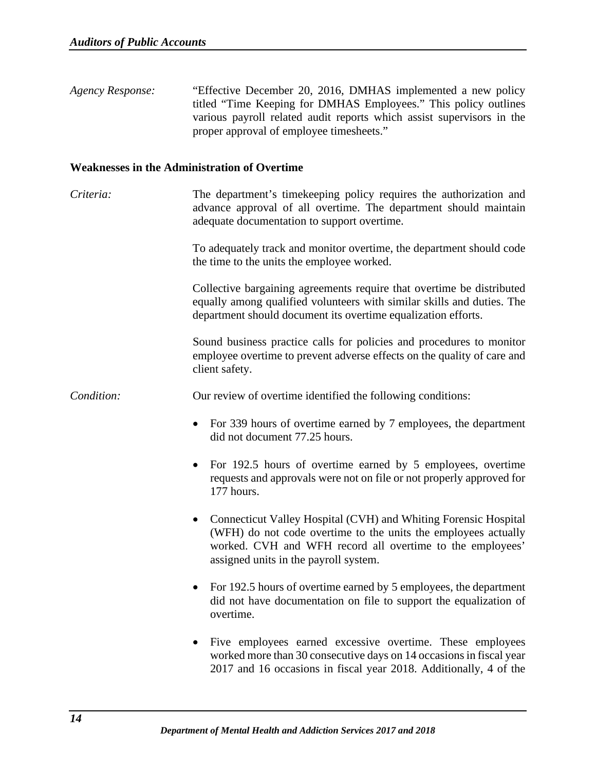*Agency Response:* "Effective December 20, 2016, DMHAS implemented a new policy titled "Time Keeping for DMHAS Employees." This policy outlines various payroll related audit reports which assist supervisors in the proper approval of employee timesheets."

#### <span id="page-16-0"></span>**Weaknesses in the Administration of Overtime**

*Criteria:* The department's timekeeping policy requires the authorization and advance approval of all overtime. The department should maintain adequate documentation to support overtime.

> To adequately track and monitor overtime, the department should code the time to the units the employee worked.

> Collective bargaining agreements require that overtime be distributed equally among qualified volunteers with similar skills and duties. The department should document its overtime equalization efforts.

> Sound business practice calls for policies and procedures to monitor employee overtime to prevent adverse effects on the quality of care and client safety.

*Condition:* Our review of overtime identified the following conditions:

- For 339 hours of overtime earned by 7 employees, the department did not document 77.25 hours.
- For 192.5 hours of overtime earned by 5 employees, overtime requests and approvals were not on file or not properly approved for 177 hours.
- Connecticut Valley Hospital (CVH) and Whiting Forensic Hospital (WFH) do not code overtime to the units the employees actually worked. CVH and WFH record all overtime to the employees' assigned units in the payroll system.
- For 192.5 hours of overtime earned by 5 employees, the department did not have documentation on file to support the equalization of overtime.
- Five employees earned excessive overtime. These employees worked more than 30 consecutive days on 14 occasions in fiscal year 2017 and 16 occasions in fiscal year 2018. Additionally, 4 of the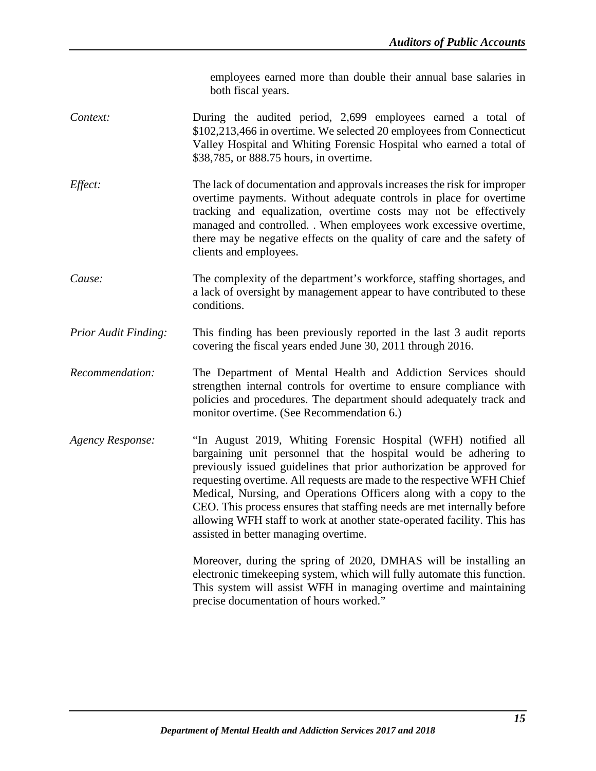employees earned more than double their annual base salaries in both fiscal years.

- *Context:* During the audited period, 2,699 employees earned a total of \$102,213,466 in overtime. We selected 20 employees from Connecticut Valley Hospital and Whiting Forensic Hospital who earned a total of \$38,785, or 888.75 hours, in overtime.
- *Effect:* The lack of documentation and approvals increases the risk for improper overtime payments. Without adequate controls in place for overtime tracking and equalization, overtime costs may not be effectively managed and controlled. . When employees work excessive overtime, there may be negative effects on the quality of care and the safety of clients and employees.
- *Cause:* The complexity of the department's workforce, staffing shortages, and a lack of oversight by management appear to have contributed to these conditions.
- *Prior Audit Finding:* This finding has been previously reported in the last 3 audit reports covering the fiscal years ended June 30, 2011 through 2016.
- *Recommendation:* The Department of Mental Health and Addiction Services should strengthen internal controls for overtime to ensure compliance with policies and procedures. The department should adequately track and monitor overtime. (See Recommendation 6.)
- *Agency Response:* "In August 2019, Whiting Forensic Hospital (WFH) notified all bargaining unit personnel that the hospital would be adhering to previously issued guidelines that prior authorization be approved for requesting overtime. All requests are made to the respective WFH Chief Medical, Nursing, and Operations Officers along with a copy to the CEO. This process ensures that staffing needs are met internally before allowing WFH staff to work at another state-operated facility. This has assisted in better managing overtime.

Moreover, during the spring of 2020, DMHAS will be installing an electronic timekeeping system, which will fully automate this function. This system will assist WFH in managing overtime and maintaining precise documentation of hours worked."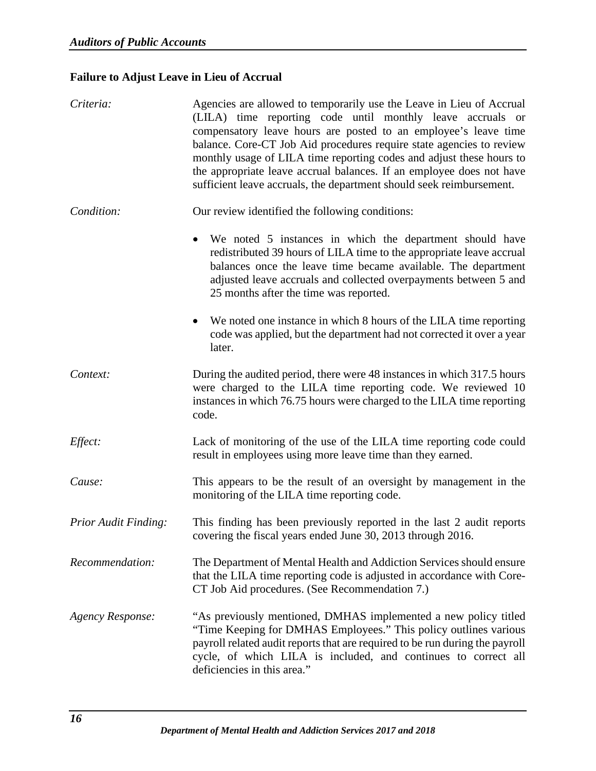# <span id="page-18-0"></span>**Failure to Adjust Leave in Lieu of Accrual**

| Criteria:               | Agencies are allowed to temporarily use the Leave in Lieu of Accrual<br>(LILA) time reporting code until monthly leave accruals or<br>compensatory leave hours are posted to an employee's leave time<br>balance. Core-CT Job Aid procedures require state agencies to review<br>monthly usage of LILA time reporting codes and adjust these hours to<br>the appropriate leave accrual balances. If an employee does not have<br>sufficient leave accruals, the department should seek reimbursement. |
|-------------------------|-------------------------------------------------------------------------------------------------------------------------------------------------------------------------------------------------------------------------------------------------------------------------------------------------------------------------------------------------------------------------------------------------------------------------------------------------------------------------------------------------------|
| Condition:              | Our review identified the following conditions:                                                                                                                                                                                                                                                                                                                                                                                                                                                       |
|                         | We noted 5 instances in which the department should have<br>redistributed 39 hours of LILA time to the appropriate leave accrual<br>balances once the leave time became available. The department<br>adjusted leave accruals and collected overpayments between 5 and<br>25 months after the time was reported.                                                                                                                                                                                       |
|                         | We noted one instance in which 8 hours of the LILA time reporting<br>$\bullet$<br>code was applied, but the department had not corrected it over a year<br>later.                                                                                                                                                                                                                                                                                                                                     |
| Context:                | During the audited period, there were 48 instances in which 317.5 hours<br>were charged to the LILA time reporting code. We reviewed 10<br>instances in which 76.75 hours were charged to the LILA time reporting<br>code.                                                                                                                                                                                                                                                                            |
| Effect:                 | Lack of monitoring of the use of the LILA time reporting code could<br>result in employees using more leave time than they earned.                                                                                                                                                                                                                                                                                                                                                                    |
| Cause:                  | This appears to be the result of an oversight by management in the<br>monitoring of the LILA time reporting code.                                                                                                                                                                                                                                                                                                                                                                                     |
| Prior Audit Finding:    | This finding has been previously reported in the last 2 audit reports<br>covering the fiscal years ended June 30, 2013 through 2016.                                                                                                                                                                                                                                                                                                                                                                  |
| Recommendation:         | The Department of Mental Health and Addiction Services should ensure<br>that the LILA time reporting code is adjusted in accordance with Core-<br>CT Job Aid procedures. (See Recommendation 7.)                                                                                                                                                                                                                                                                                                      |
| <b>Agency Response:</b> | "As previously mentioned, DMHAS implemented a new policy titled<br>"Time Keeping for DMHAS Employees." This policy outlines various<br>payroll related audit reports that are required to be run during the payroll<br>cycle, of which LILA is included, and continues to correct all<br>deficiencies in this area."                                                                                                                                                                                  |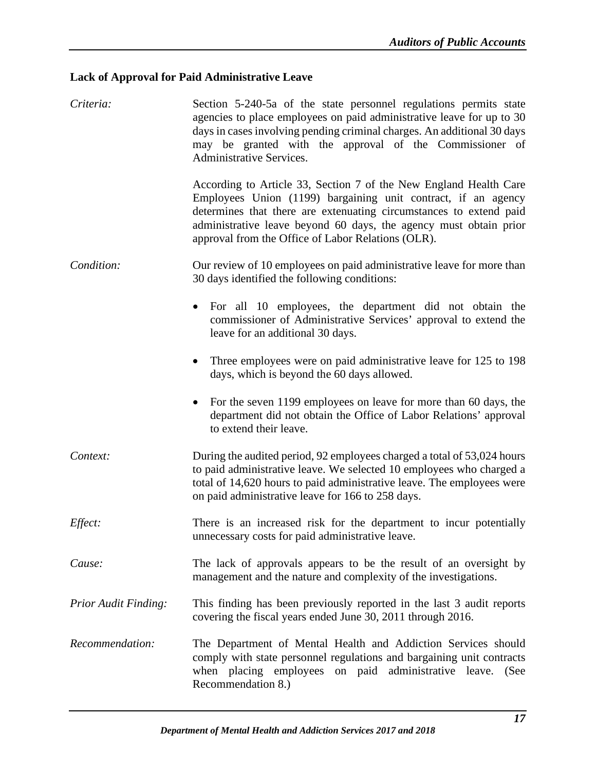# <span id="page-19-0"></span>**Lack of Approval for Paid Administrative Leave**

| Criteria:                   | Section 5-240-5a of the state personnel regulations permits state<br>agencies to place employees on paid administrative leave for up to 30<br>days in cases involving pending criminal charges. An additional 30 days<br>may be granted with the approval of the Commissioner of<br><b>Administrative Services.</b>                 |
|-----------------------------|-------------------------------------------------------------------------------------------------------------------------------------------------------------------------------------------------------------------------------------------------------------------------------------------------------------------------------------|
|                             | According to Article 33, Section 7 of the New England Health Care<br>Employees Union (1199) bargaining unit contract, if an agency<br>determines that there are extenuating circumstances to extend paid<br>administrative leave beyond 60 days, the agency must obtain prior<br>approval from the Office of Labor Relations (OLR). |
| Condition:                  | Our review of 10 employees on paid administrative leave for more than<br>30 days identified the following conditions:                                                                                                                                                                                                               |
|                             | For all 10 employees, the department did not obtain the<br>$\bullet$<br>commissioner of Administrative Services' approval to extend the<br>leave for an additional 30 days.                                                                                                                                                         |
|                             | Three employees were on paid administrative leave for 125 to 198<br>days, which is beyond the 60 days allowed.                                                                                                                                                                                                                      |
|                             | • For the seven 1199 employees on leave for more than 60 days, the<br>department did not obtain the Office of Labor Relations' approval<br>to extend their leave.                                                                                                                                                                   |
| Context:                    | During the audited period, 92 employees charged a total of 53,024 hours<br>to paid administrative leave. We selected 10 employees who charged a<br>total of 14,620 hours to paid administrative leave. The employees were<br>on paid administrative leave for 166 to 258 days.                                                      |
| <i>Effect:</i>              | There is an increased risk for the department to incur potentially<br>unnecessary costs for paid administrative leave.                                                                                                                                                                                                              |
| Cause:                      | The lack of approvals appears to be the result of an oversight by<br>management and the nature and complexity of the investigations.                                                                                                                                                                                                |
| <b>Prior Audit Finding:</b> | This finding has been previously reported in the last 3 audit reports<br>covering the fiscal years ended June 30, 2011 through 2016.                                                                                                                                                                                                |
| Recommendation:             | The Department of Mental Health and Addiction Services should<br>comply with state personnel regulations and bargaining unit contracts<br>when placing employees on paid administrative leave. (See<br>Recommendation 8.)                                                                                                           |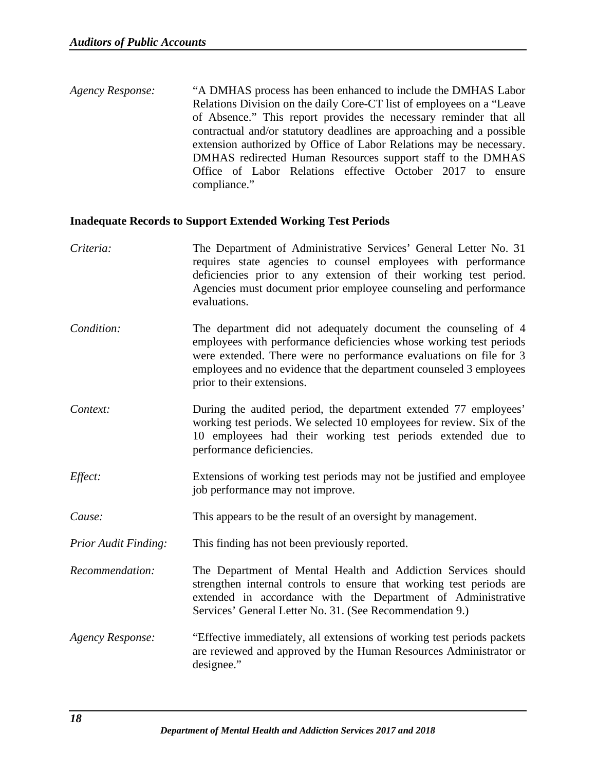*Agency Response:* "A DMHAS process has been enhanced to include the DMHAS Labor Relations Division on the daily Core-CT list of employees on a "Leave of Absence." This report provides the necessary reminder that all contractual and/or statutory deadlines are approaching and a possible extension authorized by Office of Labor Relations may be necessary. DMHAS redirected Human Resources support staff to the DMHAS Office of Labor Relations effective October 2017 to ensure compliance."

#### <span id="page-20-0"></span>**Inadequate Records to Support Extended Working Test Periods**

- *Criteria:* The Department of Administrative Services' General Letter No. 31 requires state agencies to counsel employees with performance deficiencies prior to any extension of their working test period. Agencies must document prior employee counseling and performance evaluations. *Condition:* The department did not adequately document the counseling of 4 employees with performance deficiencies whose working test periods were extended. There were no performance evaluations on file for 3 employees and no evidence that the department counseled 3 employees prior to their extensions. *Context:* During the audited period, the department extended 77 employees' working test periods. We selected 10 employees for review. Six of the 10 employees had their working test periods extended due to performance deficiencies.
- *Effect:* Extensions of working test periods may not be justified and employee job performance may not improve.
- *Cause:* This appears to be the result of an oversight by management.
- *Prior Audit Finding:* This finding has not been previously reported.
- *Recommendation:* The Department of Mental Health and Addiction Services should strengthen internal controls to ensure that working test periods are extended in accordance with the Department of Administrative Services' General Letter No. 31. (See Recommendation 9.)
- *Agency Response:* "Effective immediately, all extensions of working test periods packets are reviewed and approved by the Human Resources Administrator or designee."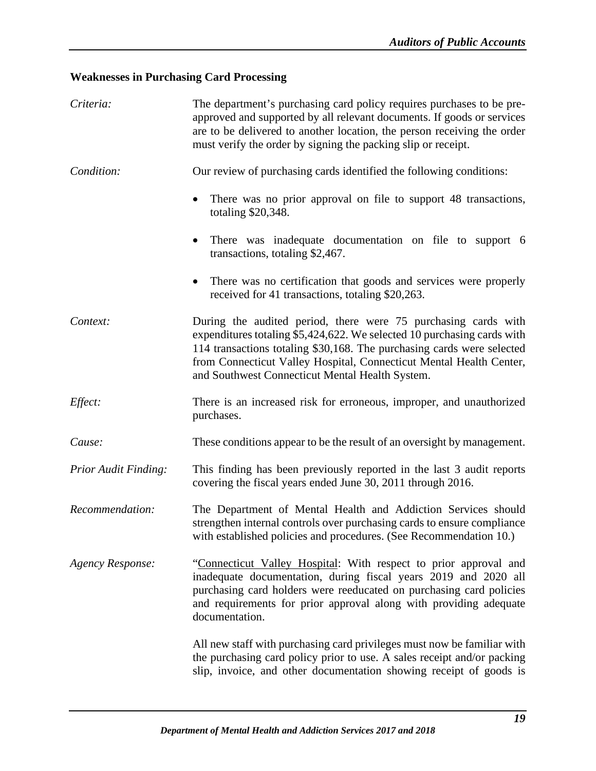# <span id="page-21-0"></span>**Weaknesses in Purchasing Card Processing**

| Criteria:                   | The department's purchasing card policy requires purchases to be pre-<br>approved and supported by all relevant documents. If goods or services<br>are to be delivered to another location, the person receiving the order<br>must verify the order by signing the packing slip or receipt.                                                   |
|-----------------------------|-----------------------------------------------------------------------------------------------------------------------------------------------------------------------------------------------------------------------------------------------------------------------------------------------------------------------------------------------|
| Condition:                  | Our review of purchasing cards identified the following conditions:                                                                                                                                                                                                                                                                           |
|                             | There was no prior approval on file to support 48 transactions,<br>totaling \$20,348.                                                                                                                                                                                                                                                         |
|                             | There was inadequate documentation on file to support 6<br>transactions, totaling \$2,467.                                                                                                                                                                                                                                                    |
|                             | There was no certification that goods and services were properly<br>received for 41 transactions, totaling \$20,263.                                                                                                                                                                                                                          |
| Context:                    | During the audited period, there were 75 purchasing cards with<br>expenditures totaling \$5,424,622. We selected 10 purchasing cards with<br>114 transactions totaling \$30,168. The purchasing cards were selected<br>from Connecticut Valley Hospital, Connecticut Mental Health Center,<br>and Southwest Connecticut Mental Health System. |
| Effect:                     | There is an increased risk for erroneous, improper, and unauthorized<br>purchases.                                                                                                                                                                                                                                                            |
| Cause:                      | These conditions appear to be the result of an oversight by management.                                                                                                                                                                                                                                                                       |
| <b>Prior Audit Finding:</b> | This finding has been previously reported in the last 3 audit reports<br>covering the fiscal years ended June 30, 2011 through 2016.                                                                                                                                                                                                          |
| Recommendation:             | The Department of Mental Health and Addiction Services should<br>strengthen internal controls over purchasing cards to ensure compliance<br>with established policies and procedures. (See Recommendation 10.)                                                                                                                                |
| <b>Agency Response:</b>     | "Connecticut Valley Hospital: With respect to prior approval and<br>inadequate documentation, during fiscal years 2019 and 2020 all<br>purchasing card holders were reeducated on purchasing card policies<br>and requirements for prior approval along with providing adequate<br>documentation.                                             |
|                             | All new staff with purchasing card privileges must now be familiar with<br>the purchasing card policy prior to use. A sales receipt and/or packing<br>slip, invoice, and other documentation showing receipt of goods is                                                                                                                      |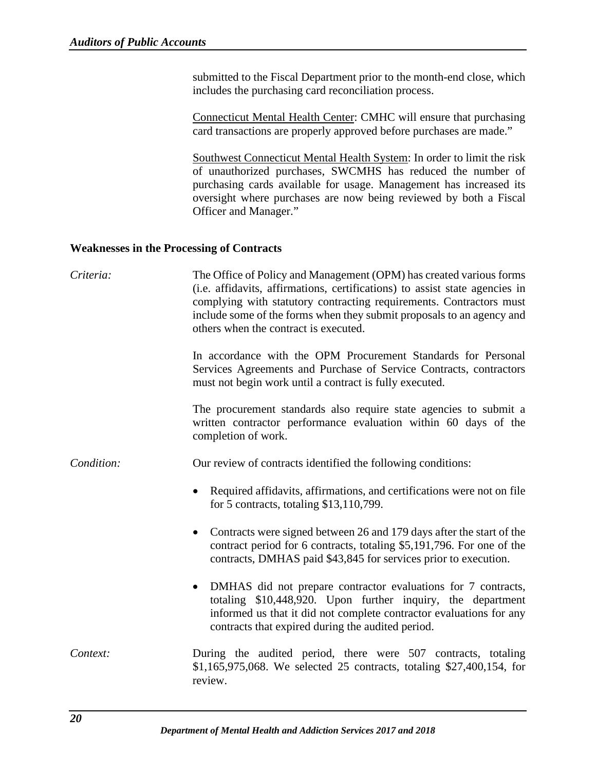submitted to the Fiscal Department prior to the month-end close, which includes the purchasing card reconciliation process.

Connecticut Mental Health Center: CMHC will ensure that purchasing card transactions are properly approved before purchases are made."

Southwest Connecticut Mental Health System: In order to limit the risk of unauthorized purchases, SWCMHS has reduced the number of purchasing cards available for usage. Management has increased its oversight where purchases are now being reviewed by both a Fiscal Officer and Manager."

#### <span id="page-22-0"></span>**Weaknesses in the Processing of Contracts**

| Criteria:  | The Office of Policy and Management (OPM) has created various forms<br>(i.e. affidavits, affirmations, certifications) to assist state agencies in<br>complying with statutory contracting requirements. Contractors must<br>include some of the forms when they submit proposals to an agency and<br>others when the contract is executed. |
|------------|---------------------------------------------------------------------------------------------------------------------------------------------------------------------------------------------------------------------------------------------------------------------------------------------------------------------------------------------|
|            | In accordance with the OPM Procurement Standards for Personal<br>Services Agreements and Purchase of Service Contracts, contractors<br>must not begin work until a contract is fully executed.                                                                                                                                              |
|            | The procurement standards also require state agencies to submit a<br>written contractor performance evaluation within 60 days of the<br>completion of work.                                                                                                                                                                                 |
| Condition: | Our review of contracts identified the following conditions:                                                                                                                                                                                                                                                                                |
|            | Required affidavits, affirmations, and certifications were not on file<br>for 5 contracts, totaling $$13,110,799$ .                                                                                                                                                                                                                         |
|            | Contracts were signed between 26 and 179 days after the start of the<br>٠<br>contract period for 6 contracts, totaling \$5,191,796. For one of the<br>contracts, DMHAS paid \$43,845 for services prior to execution.                                                                                                                       |
|            | DMHAS did not prepare contractor evaluations for 7 contracts,<br>$\bullet$<br>totaling \$10,448,920. Upon further inquiry, the department<br>informed us that it did not complete contractor evaluations for any<br>contracts that expired during the audited period.                                                                       |
| Context:   | During the audited period, there were 507 contracts, totaling<br>\$1,165,975,068. We selected 25 contracts, totaling \$27,400,154, for<br>review.                                                                                                                                                                                           |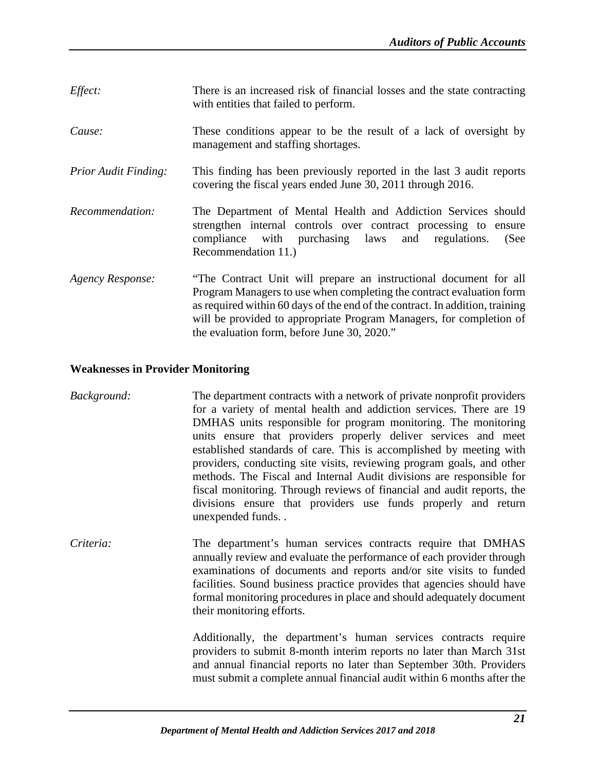- *Effect:* There is an increased risk of financial losses and the state contracting with entities that failed to perform.
- *Cause:* These conditions appear to be the result of a lack of oversight by management and staffing shortages.
- *Prior Audit Finding:* This finding has been previously reported in the last 3 audit reports covering the fiscal years ended June 30, 2011 through 2016.
- *Recommendation:* The Department of Mental Health and Addiction Services should strengthen internal controls over contract processing to ensure compliance with purchasing laws and regulations. (See Recommendation 11.)
- *Agency Response:* "The Contract Unit will prepare an instructional document for all Program Managers to use when completing the contract evaluation form as required within 60 days of the end of the contract. In addition, training will be provided to appropriate Program Managers, for completion of the evaluation form, before June 30, 2020."

# <span id="page-23-0"></span>**Weaknesses in Provider Monitoring**

- *Background:* The department contracts with a network of private nonprofit providers for a variety of mental health and addiction services. There are 19 DMHAS units responsible for program monitoring. The monitoring units ensure that providers properly deliver services and meet established standards of care. This is accomplished by meeting with providers, conducting site visits, reviewing program goals, and other methods. The Fiscal and Internal Audit divisions are responsible for fiscal monitoring. Through reviews of financial and audit reports, the divisions ensure that providers use funds properly and return unexpended funds. .
- *Criteria:* The department's human services contracts require that DMHAS annually review and evaluate the performance of each provider through examinations of documents and reports and/or site visits to funded facilities. Sound business practice provides that agencies should have formal monitoring procedures in place and should adequately document their monitoring efforts.

Additionally, the department's human services contracts require providers to submit 8-month interim reports no later than March 31st and annual financial reports no later than September 30th. Providers must submit a complete annual financial audit within 6 months after the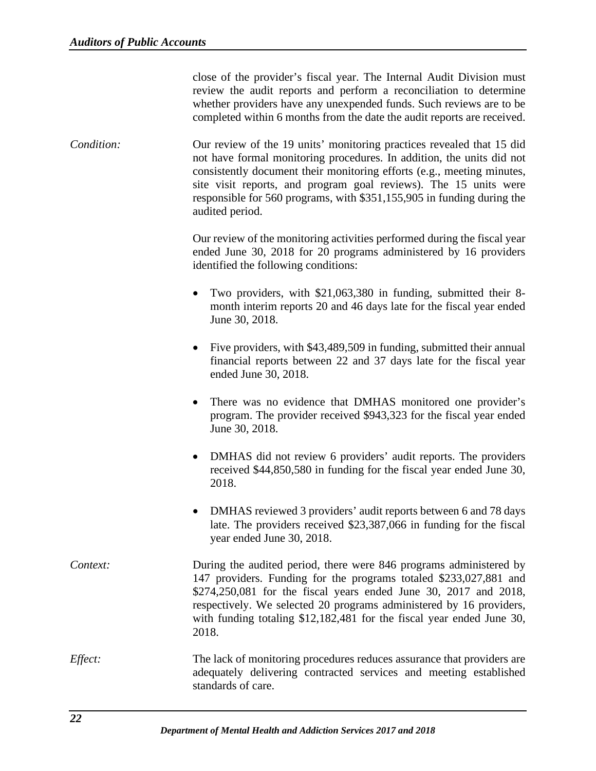close of the provider's fiscal year. The Internal Audit Division must review the audit reports and perform a reconciliation to determine whether providers have any unexpended funds. Such reviews are to be completed within 6 months from the date the audit reports are received.

*Condition:* Our review of the 19 units' monitoring practices revealed that 15 did not have formal monitoring procedures. In addition, the units did not consistently document their monitoring efforts (e.g., meeting minutes, site visit reports, and program goal reviews). The 15 units were responsible for 560 programs, with \$351,155,905 in funding during the audited period.

> Our review of the monitoring activities performed during the fiscal year ended June 30, 2018 for 20 programs administered by 16 providers identified the following conditions:

- Two providers, with \$21,063,380 in funding, submitted their 8 month interim reports 20 and 46 days late for the fiscal year ended June 30, 2018.
- Five providers, with \$43,489,509 in funding, submitted their annual financial reports between 22 and 37 days late for the fiscal year ended June 30, 2018.
- There was no evidence that DMHAS monitored one provider's program. The provider received \$943,323 for the fiscal year ended June 30, 2018.
- DMHAS did not review 6 providers' audit reports. The providers received \$44,850,580 in funding for the fiscal year ended June 30, 2018.
- DMHAS reviewed 3 providers' audit reports between 6 and 78 days late. The providers received \$23,387,066 in funding for the fiscal year ended June 30, 2018.

*Context:* During the audited period, there were 846 programs administered by 147 providers. Funding for the programs totaled \$233,027,881 and \$274,250,081 for the fiscal years ended June 30, 2017 and 2018, respectively. We selected 20 programs administered by 16 providers, with funding totaling \$12,182,481 for the fiscal year ended June 30, 2018.

*Effect:* The lack of monitoring procedures reduces assurance that providers are adequately delivering contracted services and meeting established standards of care.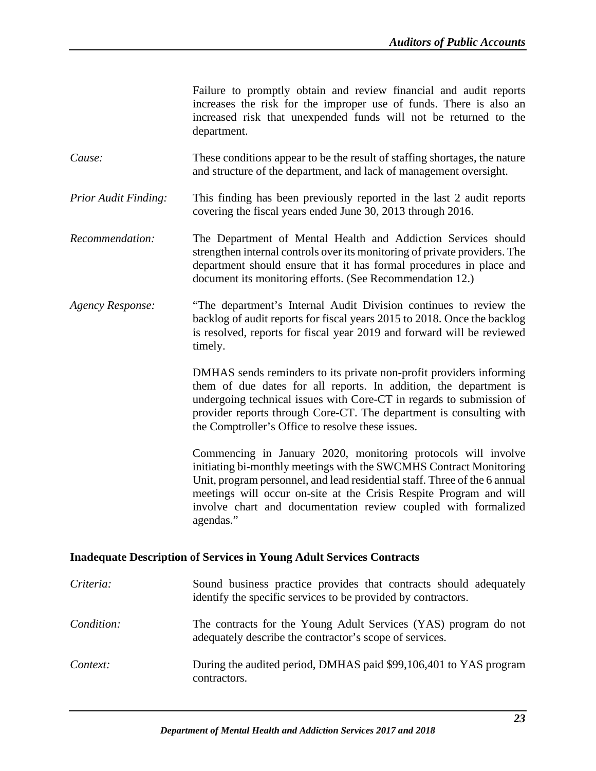|                         | Failure to promptly obtain and review financial and audit reports<br>increases the risk for the improper use of funds. There is also an<br>increased risk that unexpended funds will not be returned to the<br>department.                                                                                                                                             |
|-------------------------|------------------------------------------------------------------------------------------------------------------------------------------------------------------------------------------------------------------------------------------------------------------------------------------------------------------------------------------------------------------------|
| Cause:                  | These conditions appear to be the result of staffing shortages, the nature<br>and structure of the department, and lack of management oversight.                                                                                                                                                                                                                       |
| Prior Audit Finding:    | This finding has been previously reported in the last 2 audit reports<br>covering the fiscal years ended June 30, 2013 through 2016.                                                                                                                                                                                                                                   |
| Recommendation:         | The Department of Mental Health and Addiction Services should<br>strengthen internal controls over its monitoring of private providers. The<br>department should ensure that it has formal procedures in place and<br>document its monitoring efforts. (See Recommendation 12.)                                                                                        |
| <b>Agency Response:</b> | "The department's Internal Audit Division continues to review the<br>backlog of audit reports for fiscal years 2015 to 2018. Once the backlog<br>is resolved, reports for fiscal year 2019 and forward will be reviewed<br>timely.                                                                                                                                     |
|                         | DMHAS sends reminders to its private non-profit providers informing<br>them of due dates for all reports. In addition, the department is<br>undergoing technical issues with Core-CT in regards to submission of<br>provider reports through Core-CT. The department is consulting with<br>the Comptroller's Office to resolve these issues.                           |
|                         | Commencing in January 2020, monitoring protocols will involve<br>initiating bi-monthly meetings with the SWCMHS Contract Monitoring<br>Unit, program personnel, and lead residential staff. Three of the 6 annual<br>meetings will occur on-site at the Crisis Respite Program and will<br>involve chart and documentation review coupled with formalized<br>agendas." |
|                         | <b>Inadequate Description of Services in Young Adult Services Contracts</b>                                                                                                                                                                                                                                                                                            |
| Criteria:               | Sound business practice provides that contracts should adequately<br>identify the specific services to be provided by contractors.                                                                                                                                                                                                                                     |

- <span id="page-25-0"></span>*Condition:* The contracts for the Young Adult Services (YAS) program do not adequately describe the contractor's scope of services.
- *Context:* During the audited period, DMHAS paid \$99,106,401 to YAS program contractors.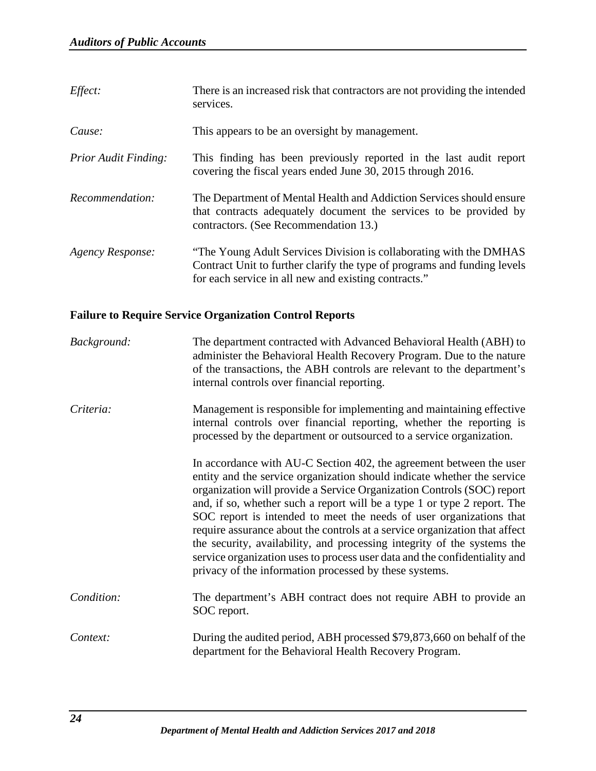| Effect:                     | There is an increased risk that contractors are not providing the intended<br>services.                                                                                                                |
|-----------------------------|--------------------------------------------------------------------------------------------------------------------------------------------------------------------------------------------------------|
| Cause:                      | This appears to be an oversight by management.                                                                                                                                                         |
| <b>Prior Audit Finding:</b> | This finding has been previously reported in the last audit report<br>covering the fiscal years ended June 30, 2015 through 2016.                                                                      |
| Recommendation:             | The Department of Mental Health and Addiction Services should ensure<br>that contracts adequately document the services to be provided by<br>contractors. (See Recommendation 13.)                     |
| Agency Response:            | "The Young Adult Services Division is collaborating with the DMHAS<br>Contract Unit to further clarify the type of programs and funding levels<br>for each service in all new and existing contracts." |

# <span id="page-26-0"></span>**Failure to Require Service Organization Control Reports**

| Background: | The department contracted with Advanced Behavioral Health (ABH) to<br>administer the Behavioral Health Recovery Program. Due to the nature<br>of the transactions, the ABH controls are relevant to the department's<br>internal controls over financial reporting.                                                                                                                                                                                                                                                                                                                                                                                                          |
|-------------|------------------------------------------------------------------------------------------------------------------------------------------------------------------------------------------------------------------------------------------------------------------------------------------------------------------------------------------------------------------------------------------------------------------------------------------------------------------------------------------------------------------------------------------------------------------------------------------------------------------------------------------------------------------------------|
| Criteria:   | Management is responsible for implementing and maintaining effective<br>internal controls over financial reporting, whether the reporting is<br>processed by the department or outsourced to a service organization.                                                                                                                                                                                                                                                                                                                                                                                                                                                         |
|             | In accordance with AU-C Section 402, the agreement between the user<br>entity and the service organization should indicate whether the service<br>organization will provide a Service Organization Controls (SOC) report<br>and, if so, whether such a report will be a type 1 or type 2 report. The<br>SOC report is intended to meet the needs of user organizations that<br>require assurance about the controls at a service organization that affect<br>the security, availability, and processing integrity of the systems the<br>service organization uses to process user data and the confidentiality and<br>privacy of the information processed by these systems. |
| Condition:  | The department's ABH contract does not require ABH to provide an<br>SOC report.                                                                                                                                                                                                                                                                                                                                                                                                                                                                                                                                                                                              |
| Context:    | During the audited period, ABH processed \$79,873,660 on behalf of the<br>department for the Behavioral Health Recovery Program.                                                                                                                                                                                                                                                                                                                                                                                                                                                                                                                                             |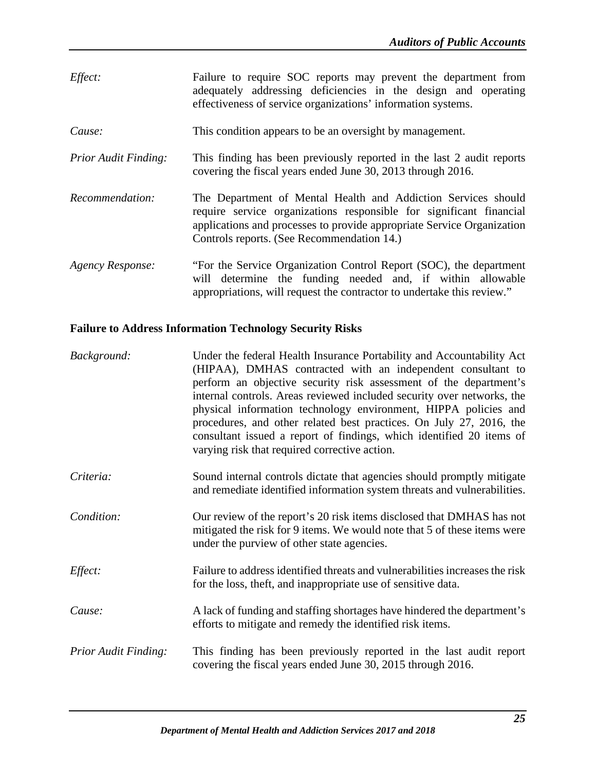- *Effect:* Failure to require SOC reports may prevent the department from adequately addressing deficiencies in the design and operating effectiveness of service organizations' information systems.
- *Cause:* This condition appears to be an oversight by management.
- *Prior Audit Finding:* This finding has been previously reported in the last 2 audit reports covering the fiscal years ended June 30, 2013 through 2016.
- *Recommendation:* The Department of Mental Health and Addiction Services should require service organizations responsible for significant financial applications and processes to provide appropriate Service Organization Controls reports. (See Recommendation 14.)
- *Agency Response:* "For the Service Organization Control Report (SOC), the department will determine the funding needed and, if within allowable appropriations, will request the contractor to undertake this review."

# <span id="page-27-0"></span>**Failure to Address Information Technology Security Risks**

| Background:          | Under the federal Health Insurance Portability and Accountability Act<br>(HIPAA), DMHAS contracted with an independent consultant to<br>perform an objective security risk assessment of the department's<br>internal controls. Areas reviewed included security over networks, the<br>physical information technology environment, HIPPA policies and<br>procedures, and other related best practices. On July 27, 2016, the<br>consultant issued a report of findings, which identified 20 items of<br>varying risk that required corrective action. |
|----------------------|--------------------------------------------------------------------------------------------------------------------------------------------------------------------------------------------------------------------------------------------------------------------------------------------------------------------------------------------------------------------------------------------------------------------------------------------------------------------------------------------------------------------------------------------------------|
| Criteria:            | Sound internal controls dictate that agencies should promptly mitigate<br>and remediate identified information system threats and vulnerabilities.                                                                                                                                                                                                                                                                                                                                                                                                     |
| Condition:           | Our review of the report's 20 risk items disclosed that DMHAS has not<br>mitigated the risk for 9 items. We would note that 5 of these items were<br>under the purview of other state agencies.                                                                                                                                                                                                                                                                                                                                                        |
| Effect:              | Failure to address identified threats and vulnerabilities increases the risk<br>for the loss, theft, and inappropriate use of sensitive data.                                                                                                                                                                                                                                                                                                                                                                                                          |
| Cause:               | A lack of funding and staffing shortages have hindered the department's<br>efforts to mitigate and remedy the identified risk items.                                                                                                                                                                                                                                                                                                                                                                                                                   |
| Prior Audit Finding: | This finding has been previously reported in the last audit report<br>covering the fiscal years ended June 30, 2015 through 2016.                                                                                                                                                                                                                                                                                                                                                                                                                      |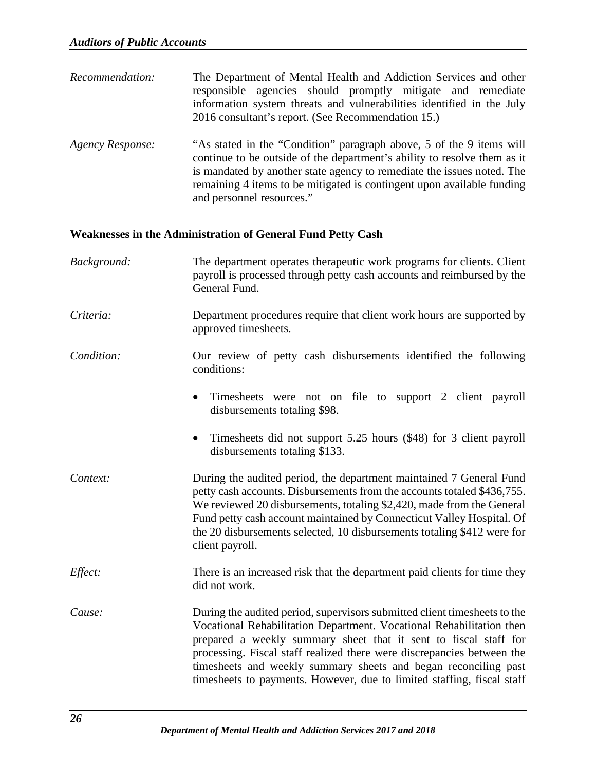- *Recommendation:* The Department of Mental Health and Addiction Services and other responsible agencies should promptly mitigate and remediate information system threats and vulnerabilities identified in the July 2016 consultant's report. (See Recommendation 15.)
- *Agency Response:* "As stated in the "Condition" paragraph above, 5 of the 9 items will continue to be outside of the department's ability to resolve them as it is mandated by another state agency to remediate the issues noted. The remaining 4 items to be mitigated is contingent upon available funding and personnel resources."

#### <span id="page-28-0"></span>**Weaknesses in the Administration of General Fund Petty Cash**

- *Background:* The department operates therapeutic work programs for clients. Client payroll is processed through petty cash accounts and reimbursed by the General Fund.
- *Criteria:* Department procedures require that client work hours are supported by approved timesheets.
- *Condition:* Our review of petty cash disbursements identified the following conditions:
	- Timesheets were not on file to support 2 client payroll disbursements totaling \$98.
	- Timesheets did not support 5.25 hours (\$48) for 3 client payroll disbursements totaling \$133.
- *Context:* During the audited period, the department maintained 7 General Fund petty cash accounts. Disbursements from the accounts totaled \$436,755. We reviewed 20 disbursements, totaling \$2,420, made from the General Fund petty cash account maintained by Connecticut Valley Hospital. Of the 20 disbursements selected, 10 disbursements totaling \$412 were for client payroll.
- *Effect:* There is an increased risk that the department paid clients for time they did not work.
- *Cause:* During the audited period, supervisors submitted client timesheets to the Vocational Rehabilitation Department. Vocational Rehabilitation then prepared a weekly summary sheet that it sent to fiscal staff for processing. Fiscal staff realized there were discrepancies between the timesheets and weekly summary sheets and began reconciling past timesheets to payments. However, due to limited staffing, fiscal staff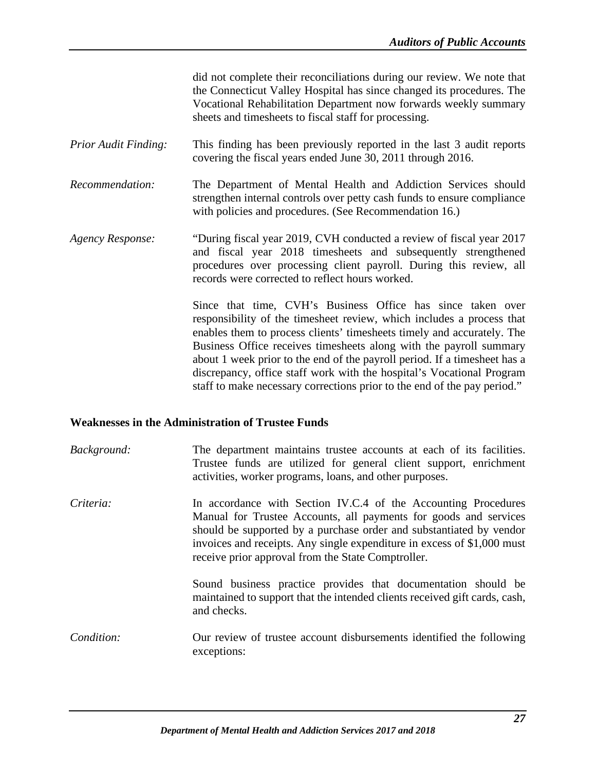did not complete their reconciliations during our review. We note that the Connecticut Valley Hospital has since changed its procedures. The Vocational Rehabilitation Department now forwards weekly summary sheets and timesheets to fiscal staff for processing.

- *Prior Audit Finding:* This finding has been previously reported in the last 3 audit reports covering the fiscal years ended June 30, 2011 through 2016.
- *Recommendation:* The Department of Mental Health and Addiction Services should strengthen internal controls over petty cash funds to ensure compliance with policies and procedures. (See Recommendation 16.)
- *Agency Response:* "During fiscal year 2019, CVH conducted a review of fiscal year 2017 and fiscal year 2018 timesheets and subsequently strengthened procedures over processing client payroll. During this review, all records were corrected to reflect hours worked.

Since that time, CVH's Business Office has since taken over responsibility of the timesheet review, which includes a process that enables them to process clients' timesheets timely and accurately. The Business Office receives timesheets along with the payroll summary about 1 week prior to the end of the payroll period. If a timesheet has a discrepancy, office staff work with the hospital's Vocational Program staff to make necessary corrections prior to the end of the pay period."

#### <span id="page-29-0"></span>**Weaknesses in the Administration of Trustee Funds**

*Background:* The department maintains trustee accounts at each of its facilities. Trustee funds are utilized for general client support, enrichment activities, worker programs, loans, and other purposes. *Criteria:* In accordance with Section IV.C.4 of the Accounting Procedures Manual for Trustee Accounts, all payments for goods and services should be supported by a purchase order and substantiated by vendor invoices and receipts. Any single expenditure in excess of \$1,000 must receive prior approval from the State Comptroller.

Sound business practice provides that documentation should be maintained to support that the intended clients received gift cards, cash, and checks.

*Condition:* Our review of trustee account disbursements identified the following exceptions: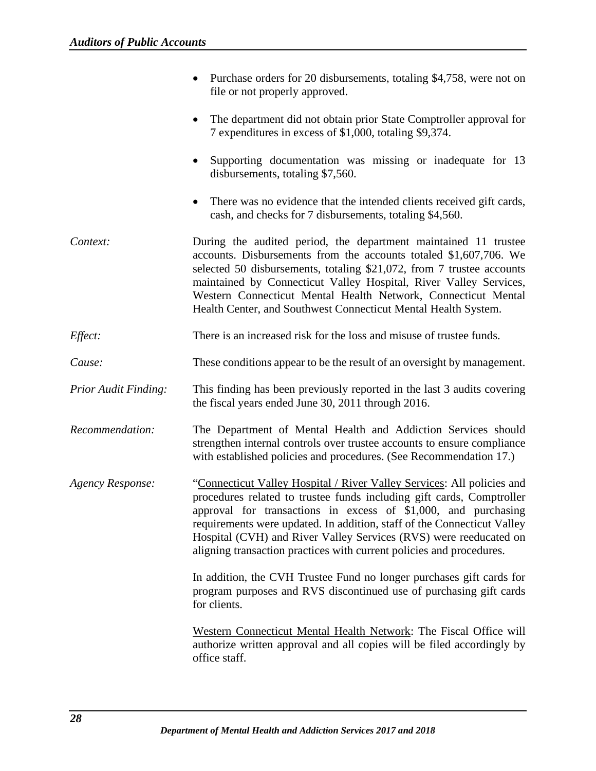|                             | Purchase orders for 20 disbursements, totaling \$4,758, were not on<br>file or not properly approved.                                                                                                                                                                                                                                                                                                                                     |
|-----------------------------|-------------------------------------------------------------------------------------------------------------------------------------------------------------------------------------------------------------------------------------------------------------------------------------------------------------------------------------------------------------------------------------------------------------------------------------------|
|                             | The department did not obtain prior State Comptroller approval for<br>7 expenditures in excess of \$1,000, totaling \$9,374.                                                                                                                                                                                                                                                                                                              |
|                             | Supporting documentation was missing or inadequate for 13<br>disbursements, totaling \$7,560.                                                                                                                                                                                                                                                                                                                                             |
|                             | There was no evidence that the intended clients received gift cards,<br>cash, and checks for 7 disbursements, totaling \$4,560.                                                                                                                                                                                                                                                                                                           |
| Context:                    | During the audited period, the department maintained 11 trustee<br>accounts. Disbursements from the accounts totaled \$1,607,706. We<br>selected 50 disbursements, totaling \$21,072, from 7 trustee accounts<br>maintained by Connecticut Valley Hospital, River Valley Services,<br>Western Connecticut Mental Health Network, Connecticut Mental<br>Health Center, and Southwest Connecticut Mental Health System.                     |
| Effect:                     | There is an increased risk for the loss and misuse of trustee funds.                                                                                                                                                                                                                                                                                                                                                                      |
| Cause:                      | These conditions appear to be the result of an oversight by management.                                                                                                                                                                                                                                                                                                                                                                   |
| <b>Prior Audit Finding:</b> | This finding has been previously reported in the last 3 audits covering<br>the fiscal years ended June 30, 2011 through 2016.                                                                                                                                                                                                                                                                                                             |
| Recommendation:             | The Department of Mental Health and Addiction Services should<br>strengthen internal controls over trustee accounts to ensure compliance<br>with established policies and procedures. (See Recommendation 17.)                                                                                                                                                                                                                            |
| <b>Agency Response:</b>     | "Connecticut Valley Hospital / River Valley Services: All policies and<br>procedures related to trustee funds including gift cards, Comptroller<br>approval for transactions in excess of \$1,000, and purchasing<br>requirements were updated. In addition, staff of the Connecticut Valley<br>Hospital (CVH) and River Valley Services (RVS) were reeducated on<br>aligning transaction practices with current policies and procedures. |
|                             | In addition, the CVH Trustee Fund no longer purchases gift cards for<br>program purposes and RVS discontinued use of purchasing gift cards<br>for clients.                                                                                                                                                                                                                                                                                |
|                             | Western Connecticut Mental Health Network: The Fiscal Office will<br>authorize written approval and all copies will be filed accordingly by<br>office staff.                                                                                                                                                                                                                                                                              |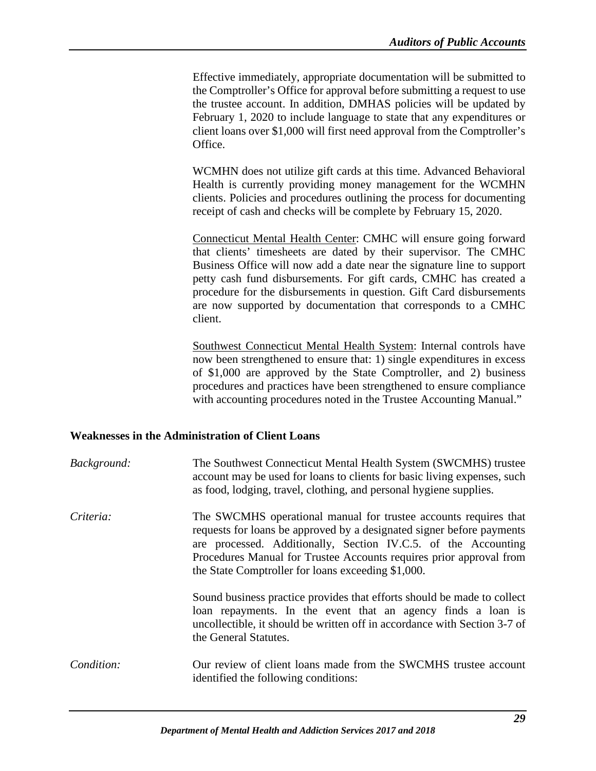Effective immediately, appropriate documentation will be submitted to the Comptroller's Office for approval before submitting a request to use the trustee account. In addition, DMHAS policies will be updated by February 1, 2020 to include language to state that any expenditures or client loans over \$1,000 will first need approval from the Comptroller's Office.

WCMHN does not utilize gift cards at this time. Advanced Behavioral Health is currently providing money management for the WCMHN clients. Policies and procedures outlining the process for documenting receipt of cash and checks will be complete by February 15, 2020.

Connecticut Mental Health Center: CMHC will ensure going forward that clients' timesheets are dated by their supervisor. The CMHC Business Office will now add a date near the signature line to support petty cash fund disbursements. For gift cards, CMHC has created a procedure for the disbursements in question. Gift Card disbursements are now supported by documentation that corresponds to a CMHC client.

Southwest Connecticut Mental Health System: Internal controls have now been strengthened to ensure that: 1) single expenditures in excess of \$1,000 are approved by the State Comptroller, and 2) business procedures and practices have been strengthened to ensure compliance with accounting procedures noted in the Trustee Accounting Manual."

#### <span id="page-31-0"></span>**Weaknesses in the Administration of Client Loans**

| Background: | The Southwest Connecticut Mental Health System (SWCMHS) trustee<br>account may be used for loans to clients for basic living expenses, such<br>as food, lodging, travel, clothing, and personal hygiene supplies.                                                                                                                        |
|-------------|------------------------------------------------------------------------------------------------------------------------------------------------------------------------------------------------------------------------------------------------------------------------------------------------------------------------------------------|
| Criteria:   | The SWCMHS operational manual for trustee accounts requires that<br>requests for loans be approved by a designated signer before payments<br>are processed. Additionally, Section IV.C.5. of the Accounting<br>Procedures Manual for Trustee Accounts requires prior approval from<br>the State Comptroller for loans exceeding \$1,000. |
|             | Sound business practice provides that efforts should be made to collect<br>loan repayments. In the event that an agency finds a loan is<br>uncollectible, it should be written off in accordance with Section 3-7 of<br>the General Statutes.                                                                                            |
| Condition:  | Our review of client loans made from the SWCMHS trustee account<br>identified the following conditions:                                                                                                                                                                                                                                  |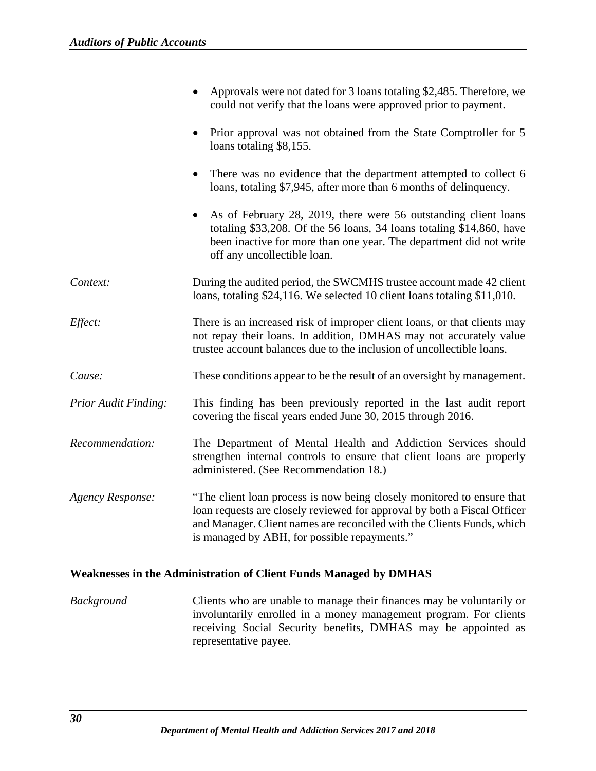|                             | Approvals were not dated for 3 loans totaling \$2,485. Therefore, we<br>could not verify that the loans were approved prior to payment.                                                                                                                                      |
|-----------------------------|------------------------------------------------------------------------------------------------------------------------------------------------------------------------------------------------------------------------------------------------------------------------------|
|                             | Prior approval was not obtained from the State Comptroller for 5<br>$\bullet$<br>loans totaling \$8,155.                                                                                                                                                                     |
|                             | There was no evidence that the department attempted to collect 6<br>loans, totaling \$7,945, after more than 6 months of delinquency.                                                                                                                                        |
|                             | As of February 28, 2019, there were 56 outstanding client loans<br>$\bullet$<br>totaling \$33,208. Of the 56 loans, 34 loans totaling \$14,860, have<br>been inactive for more than one year. The department did not write<br>off any uncollectible loan.                    |
| Context:                    | During the audited period, the SWCMHS trustee account made 42 client<br>loans, totaling \$24,116. We selected 10 client loans totaling \$11,010.                                                                                                                             |
| Effect:                     | There is an increased risk of improper client loans, or that clients may<br>not repay their loans. In addition, DMHAS may not accurately value<br>trustee account balances due to the inclusion of uncollectible loans.                                                      |
| Cause:                      | These conditions appear to be the result of an oversight by management.                                                                                                                                                                                                      |
| <b>Prior Audit Finding:</b> | This finding has been previously reported in the last audit report<br>covering the fiscal years ended June 30, 2015 through 2016.                                                                                                                                            |
| Recommendation:             | The Department of Mental Health and Addiction Services should<br>strengthen internal controls to ensure that client loans are properly<br>administered. (See Recommendation 18.)                                                                                             |
| <b>Agency Response:</b>     | "The client loan process is now being closely monitored to ensure that<br>loan requests are closely reviewed for approval by both a Fiscal Officer<br>and Manager. Client names are reconciled with the Clients Funds, which<br>is managed by ABH, for possible repayments." |

# <span id="page-32-0"></span>**Weaknesses in the Administration of Client Funds Managed by DMHAS**

*Background* Clients who are unable to manage their finances may be voluntarily or involuntarily enrolled in a money management program. For clients receiving Social Security benefits, DMHAS may be appointed as representative payee.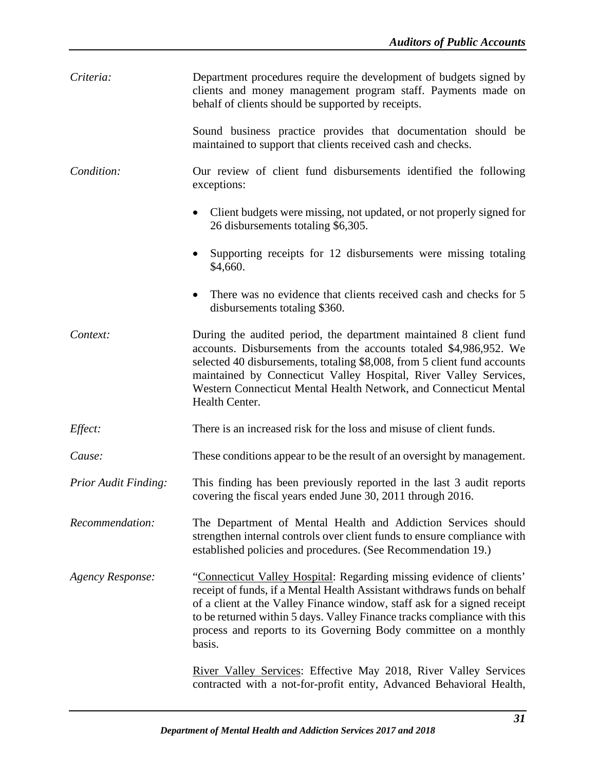| Criteria:                   | Department procedures require the development of budgets signed by<br>clients and money management program staff. Payments made on<br>behalf of clients should be supported by receipts.                                                                                                                                                                                               |
|-----------------------------|----------------------------------------------------------------------------------------------------------------------------------------------------------------------------------------------------------------------------------------------------------------------------------------------------------------------------------------------------------------------------------------|
|                             | Sound business practice provides that documentation should be<br>maintained to support that clients received cash and checks.                                                                                                                                                                                                                                                          |
| Condition:                  | Our review of client fund disbursements identified the following<br>exceptions:                                                                                                                                                                                                                                                                                                        |
|                             | Client budgets were missing, not updated, or not properly signed for<br>$\bullet$<br>26 disbursements totaling \$6,305.                                                                                                                                                                                                                                                                |
|                             | Supporting receipts for 12 disbursements were missing totaling<br>\$4,660.                                                                                                                                                                                                                                                                                                             |
|                             | There was no evidence that clients received cash and checks for 5<br>disbursements totaling \$360.                                                                                                                                                                                                                                                                                     |
| Context:                    | During the audited period, the department maintained 8 client fund<br>accounts. Disbursements from the accounts totaled \$4,986,952. We<br>selected 40 disbursements, totaling \$8,008, from 5 client fund accounts<br>maintained by Connecticut Valley Hospital, River Valley Services,<br>Western Connecticut Mental Health Network, and Connecticut Mental<br>Health Center.        |
| Effect:                     | There is an increased risk for the loss and misuse of client funds.                                                                                                                                                                                                                                                                                                                    |
| Cause:                      | These conditions appear to be the result of an oversight by management.                                                                                                                                                                                                                                                                                                                |
| <b>Prior Audit Finding:</b> | This finding has been previously reported in the last 3 audit reports<br>covering the fiscal years ended June 30, 2011 through 2016.                                                                                                                                                                                                                                                   |
| Recommendation:             | The Department of Mental Health and Addiction Services should<br>strengthen internal controls over client funds to ensure compliance with<br>established policies and procedures. (See Recommendation 19.)                                                                                                                                                                             |
| <b>Agency Response:</b>     | "Connecticut Valley Hospital: Regarding missing evidence of clients'<br>receipt of funds, if a Mental Health Assistant withdraws funds on behalf<br>of a client at the Valley Finance window, staff ask for a signed receipt<br>to be returned within 5 days. Valley Finance tracks compliance with this<br>process and reports to its Governing Body committee on a monthly<br>basis. |
|                             | River Valley Services: Effective May 2018, River Valley Services<br>contracted with a not-for-profit entity, Advanced Behavioral Health,                                                                                                                                                                                                                                               |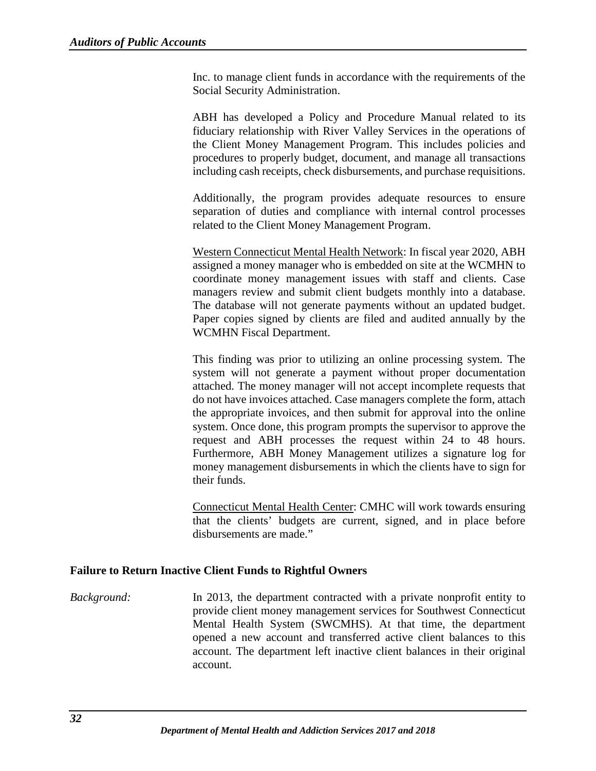Inc. to manage client funds in accordance with the requirements of the Social Security Administration.

ABH has developed a Policy and Procedure Manual related to its fiduciary relationship with River Valley Services in the operations of the Client Money Management Program. This includes policies and procedures to properly budget, document, and manage all transactions including cash receipts, check disbursements, and purchase requisitions.

Additionally, the program provides adequate resources to ensure separation of duties and compliance with internal control processes related to the Client Money Management Program.

Western Connecticut Mental Health Network: In fiscal year 2020, ABH assigned a money manager who is embedded on site at the WCMHN to coordinate money management issues with staff and clients. Case managers review and submit client budgets monthly into a database. The database will not generate payments without an updated budget. Paper copies signed by clients are filed and audited annually by the WCMHN Fiscal Department.

This finding was prior to utilizing an online processing system. The system will not generate a payment without proper documentation attached. The money manager will not accept incomplete requests that do not have invoices attached. Case managers complete the form, attach the appropriate invoices, and then submit for approval into the online system. Once done, this program prompts the supervisor to approve the request and ABH processes the request within 24 to 48 hours. Furthermore, ABH Money Management utilizes a signature log for money management disbursements in which the clients have to sign for their funds.

Connecticut Mental Health Center: CMHC will work towards ensuring that the clients' budgets are current, signed, and in place before disbursements are made."

#### <span id="page-34-0"></span>**Failure to Return Inactive Client Funds to Rightful Owners**

*Background:* In 2013, the department contracted with a private nonprofit entity to provide client money management services for Southwest Connecticut Mental Health System (SWCMHS). At that time, the department opened a new account and transferred active client balances to this account. The department left inactive client balances in their original account.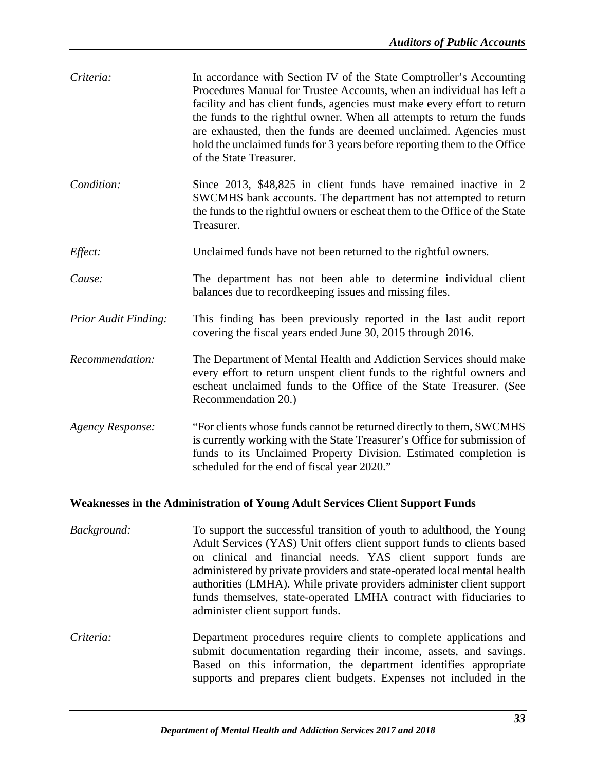| Criteria:                                                                            | In accordance with Section IV of the State Comptroller's Accounting<br>Procedures Manual for Trustee Accounts, when an individual has left a<br>facility and has client funds, agencies must make every effort to return<br>the funds to the rightful owner. When all attempts to return the funds<br>are exhausted, then the funds are deemed unclaimed. Agencies must<br>hold the unclaimed funds for 3 years before reporting them to the Office<br>of the State Treasurer.  |  |
|--------------------------------------------------------------------------------------|---------------------------------------------------------------------------------------------------------------------------------------------------------------------------------------------------------------------------------------------------------------------------------------------------------------------------------------------------------------------------------------------------------------------------------------------------------------------------------|--|
| Condition:                                                                           | Since 2013, \$48,825 in client funds have remained inactive in 2<br>SWCMHS bank accounts. The department has not attempted to return<br>the funds to the rightful owners or escheat them to the Office of the State<br>Treasurer.                                                                                                                                                                                                                                               |  |
| Effect:                                                                              | Unclaimed funds have not been returned to the rightful owners.                                                                                                                                                                                                                                                                                                                                                                                                                  |  |
| Cause:                                                                               | The department has not been able to determine individual client<br>balances due to recordkeeping issues and missing files.                                                                                                                                                                                                                                                                                                                                                      |  |
| <b>Prior Audit Finding:</b>                                                          | This finding has been previously reported in the last audit report<br>covering the fiscal years ended June 30, 2015 through 2016.                                                                                                                                                                                                                                                                                                                                               |  |
| Recommendation:                                                                      | The Department of Mental Health and Addiction Services should make<br>every effort to return unspent client funds to the rightful owners and<br>escheat unclaimed funds to the Office of the State Treasurer. (See<br>Recommendation 20.)                                                                                                                                                                                                                                       |  |
| <b>Agency Response:</b>                                                              | "For clients whose funds cannot be returned directly to them, SWCMHS<br>is currently working with the State Treasurer's Office for submission of<br>funds to its Unclaimed Property Division. Estimated completion is<br>scheduled for the end of fiscal year 2020."                                                                                                                                                                                                            |  |
| <b>Weaknesses in the Administration of Young Adult Services Client Support Funds</b> |                                                                                                                                                                                                                                                                                                                                                                                                                                                                                 |  |
| Background:                                                                          | To support the successful transition of youth to adulthood, the Young<br>Adult Services (YAS) Unit offers client support funds to clients based<br>on clinical and financial needs. YAS client support funds are<br>administered by private providers and state-operated local mental health<br>authorities (LMHA). While private providers administer client support<br>funds themselves, state-operated LMHA contract with fiduciaries to<br>administer client support funds. |  |
|                                                                                      |                                                                                                                                                                                                                                                                                                                                                                                                                                                                                 |  |

<span id="page-35-0"></span>*Criteria:* Department procedures require clients to complete applications and submit documentation regarding their income, assets, and savings. Based on this information, the department identifies appropriate supports and prepares client budgets. Expenses not included in the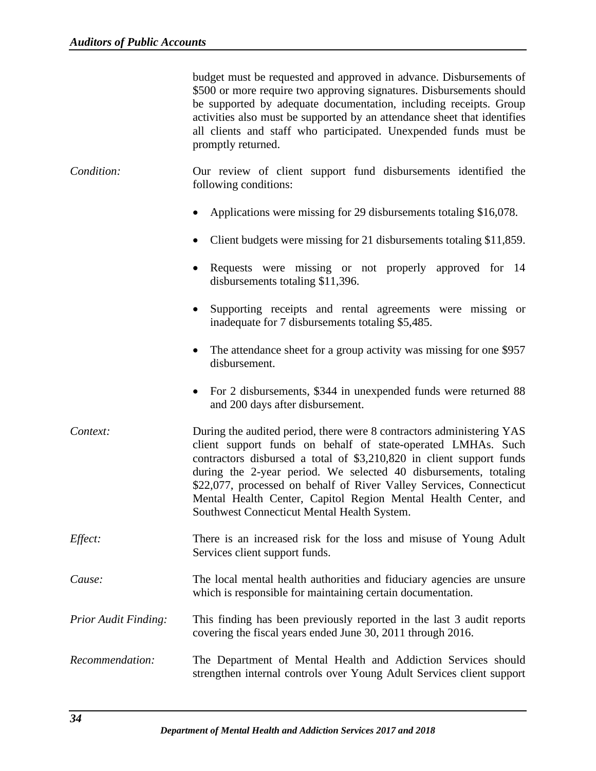|                      | budget must be requested and approved in advance. Disbursements of<br>\$500 or more require two approving signatures. Disbursements should<br>be supported by adequate documentation, including receipts. Group<br>activities also must be supported by an attendance sheet that identifies<br>all clients and staff who participated. Unexpended funds must be<br>promptly returned.                                                                                     |
|----------------------|---------------------------------------------------------------------------------------------------------------------------------------------------------------------------------------------------------------------------------------------------------------------------------------------------------------------------------------------------------------------------------------------------------------------------------------------------------------------------|
| Condition:           | Our review of client support fund disbursements identified the<br>following conditions:                                                                                                                                                                                                                                                                                                                                                                                   |
|                      | Applications were missing for 29 disbursements totaling \$16,078.                                                                                                                                                                                                                                                                                                                                                                                                         |
|                      | Client budgets were missing for 21 disbursements totaling \$11,859.                                                                                                                                                                                                                                                                                                                                                                                                       |
|                      | Requests were missing or not properly approved for 14<br>disbursements totaling \$11,396.                                                                                                                                                                                                                                                                                                                                                                                 |
|                      | Supporting receipts and rental agreements were missing or<br>$\bullet$<br>inadequate for 7 disbursements totaling \$5,485.                                                                                                                                                                                                                                                                                                                                                |
|                      | The attendance sheet for a group activity was missing for one \$957<br>$\bullet$<br>disbursement.                                                                                                                                                                                                                                                                                                                                                                         |
|                      | For 2 disbursements, \$344 in unexpended funds were returned 88<br>$\bullet$<br>and 200 days after disbursement.                                                                                                                                                                                                                                                                                                                                                          |
| Context:             | During the audited period, there were 8 contractors administering YAS<br>client support funds on behalf of state-operated LMHAs. Such<br>contractors disbursed a total of \$3,210,820 in client support funds<br>during the 2-year period. We selected 40 disbursements, totaling<br>\$22,077, processed on behalf of River Valley Services, Connecticut<br>Mental Health Center, Capitol Region Mental Health Center, and<br>Southwest Connecticut Mental Health System. |
| Effect:              | There is an increased risk for the loss and misuse of Young Adult<br>Services client support funds.                                                                                                                                                                                                                                                                                                                                                                       |
| Cause:               | The local mental health authorities and fiduciary agencies are unsure<br>which is responsible for maintaining certain documentation.                                                                                                                                                                                                                                                                                                                                      |
| Prior Audit Finding: | This finding has been previously reported in the last 3 audit reports<br>covering the fiscal years ended June 30, 2011 through 2016.                                                                                                                                                                                                                                                                                                                                      |
| Recommendation:      | The Department of Mental Health and Addiction Services should<br>strengthen internal controls over Young Adult Services client support                                                                                                                                                                                                                                                                                                                                    |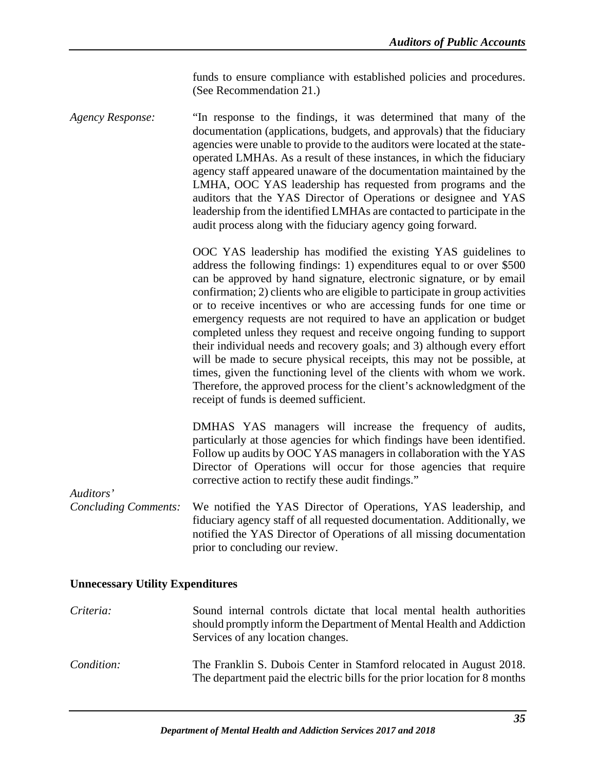funds to ensure compliance with established policies and procedures. (See Recommendation 21.)

*Agency Response:* "In response to the findings, it was determined that many of the documentation (applications, budgets, and approvals) that the fiduciary agencies were unable to provide to the auditors were located at the stateoperated LMHAs. As a result of these instances, in which the fiduciary agency staff appeared unaware of the documentation maintained by the LMHA, OOC YAS leadership has requested from programs and the auditors that the YAS Director of Operations or designee and YAS leadership from the identified LMHAs are contacted to participate in the audit process along with the fiduciary agency going forward.

> OOC YAS leadership has modified the existing YAS guidelines to address the following findings: 1) expenditures equal to or over \$500 can be approved by hand signature, electronic signature, or by email confirmation; 2) clients who are eligible to participate in group activities or to receive incentives or who are accessing funds for one time or emergency requests are not required to have an application or budget completed unless they request and receive ongoing funding to support their individual needs and recovery goals; and 3) although every effort will be made to secure physical receipts, this may not be possible, at times, given the functioning level of the clients with whom we work. Therefore, the approved process for the client's acknowledgment of the receipt of funds is deemed sufficient.

> DMHAS YAS managers will increase the frequency of audits, particularly at those agencies for which findings have been identified. Follow up audits by OOC YAS managers in collaboration with the YAS Director of Operations will occur for those agencies that require corrective action to rectify these audit findings."

*Auditors'*

*Concluding Comments:* We notified the YAS Director of Operations, YAS leadership, and fiduciary agency staff of all requested documentation. Additionally, we notified the YAS Director of Operations of all missing documentation prior to concluding our review.

#### <span id="page-37-0"></span>**Unnecessary Utility Expenditures**

*Criteria:* Sound internal controls dictate that local mental health authorities should promptly inform the Department of Mental Health and Addiction Services of any location changes. *Condition:* The Franklin S. Dubois Center in Stamford relocated in August 2018. The department paid the electric bills for the prior location for 8 months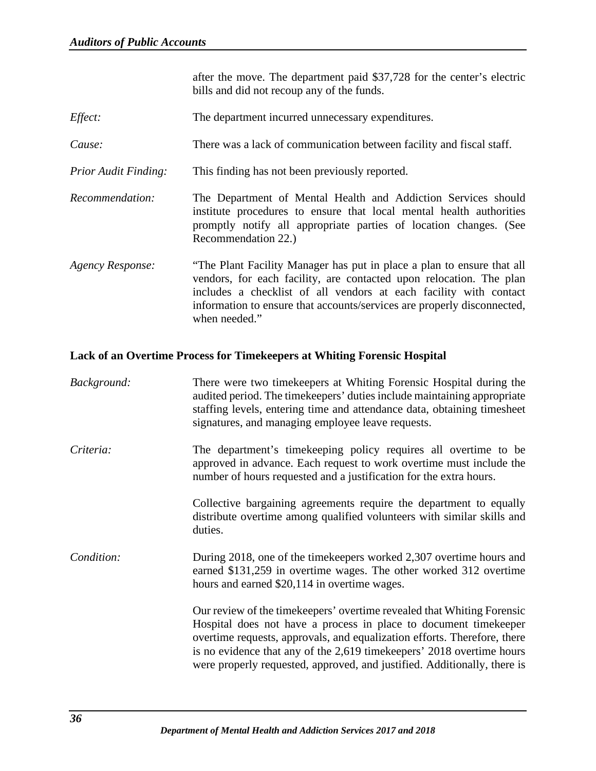after the move. The department paid \$37,728 for the center's electric bills and did not recoup any of the funds.

- *Effect:* The department incurred unnecessary expenditures.
- *Cause:* There was a lack of communication between facility and fiscal staff.
- *Prior Audit Finding:* This finding has not been previously reported.
- *Recommendation:* The Department of Mental Health and Addiction Services should institute procedures to ensure that local mental health authorities promptly notify all appropriate parties of location changes. (See Recommendation 22.)
- *Agency Response:* "The Plant Facility Manager has put in place a plan to ensure that all vendors, for each facility, are contacted upon relocation. The plan includes a checklist of all vendors at each facility with contact information to ensure that accounts/services are properly disconnected, when needed."

#### <span id="page-38-0"></span>**Lack of an Overtime Process for Timekeepers at Whiting Forensic Hospital**

| Background: | There were two time keepers at Whiting Forensic Hospital during the<br>audited period. The time keepers' duties include maintaining appropriate<br>staffing levels, entering time and attendance data, obtaining timesheet<br>signatures, and managing employee leave requests.                                                                                               |
|-------------|-------------------------------------------------------------------------------------------------------------------------------------------------------------------------------------------------------------------------------------------------------------------------------------------------------------------------------------------------------------------------------|
| Criteria:   | The department's timekeeping policy requires all overtime to be<br>approved in advance. Each request to work overtime must include the<br>number of hours requested and a justification for the extra hours.                                                                                                                                                                  |
|             | Collective bargaining agreements require the department to equally<br>distribute overtime among qualified volunteers with similar skills and<br>duties.                                                                                                                                                                                                                       |
| Condition:  | During 2018, one of the time keepers worked 2,307 overtime hours and<br>earned \$131,259 in overtime wages. The other worked 312 overtime<br>hours and earned \$20,114 in overtime wages.                                                                                                                                                                                     |
|             | Our review of the time keepers' overtime revealed that Whiting Forensic<br>Hospital does not have a process in place to document time keeper<br>overtime requests, approvals, and equalization efforts. Therefore, there<br>is no evidence that any of the 2,619 timekeepers' 2018 overtime hours<br>were properly requested, approved, and justified. Additionally, there is |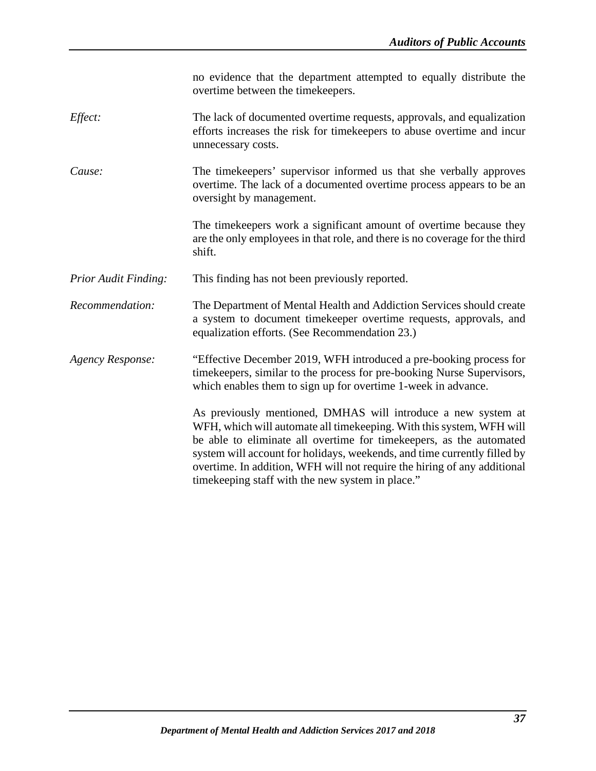|                             | no evidence that the department attempted to equally distribute the<br>overtime between the timekeepers.                                                                                                                                                                                                                                                                                                                   |
|-----------------------------|----------------------------------------------------------------------------------------------------------------------------------------------------------------------------------------------------------------------------------------------------------------------------------------------------------------------------------------------------------------------------------------------------------------------------|
| Effect:                     | The lack of documented overtime requests, approvals, and equalization<br>efforts increases the risk for time keepers to abuse overtime and incur<br>unnecessary costs.                                                                                                                                                                                                                                                     |
| Cause:                      | The time keepers' supervisor informed us that she verbally approves<br>overtime. The lack of a documented overtime process appears to be an<br>oversight by management.                                                                                                                                                                                                                                                    |
|                             | The time keepers work a significant amount of overtime because they<br>are the only employees in that role, and there is no coverage for the third<br>shift.                                                                                                                                                                                                                                                               |
| <b>Prior Audit Finding:</b> | This finding has not been previously reported.                                                                                                                                                                                                                                                                                                                                                                             |
| Recommendation:             | The Department of Mental Health and Addiction Services should create<br>a system to document timekeeper overtime requests, approvals, and<br>equalization efforts. (See Recommendation 23.)                                                                                                                                                                                                                                |
| <b>Agency Response:</b>     | "Effective December 2019, WFH introduced a pre-booking process for<br>timekeepers, similar to the process for pre-booking Nurse Supervisors,<br>which enables them to sign up for overtime 1-week in advance.                                                                                                                                                                                                              |
|                             | As previously mentioned, DMHAS will introduce a new system at<br>WFH, which will automate all timekeeping. With this system, WFH will<br>be able to eliminate all overtime for time keepers, as the automated<br>system will account for holidays, weekends, and time currently filled by<br>overtime. In addition, WFH will not require the hiring of any additional<br>time keeping staff with the new system in place." |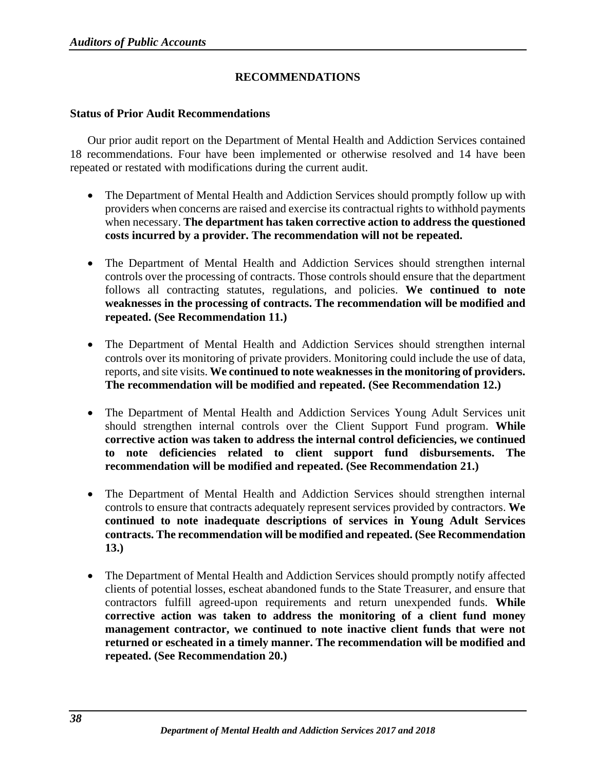# **RECOMMENDATIONS**

#### <span id="page-40-1"></span><span id="page-40-0"></span>**Status of Prior Audit Recommendations**

Our prior audit report on the Department of Mental Health and Addiction Services contained 18 recommendations. Four have been implemented or otherwise resolved and 14 have been repeated or restated with modifications during the current audit.

- The Department of Mental Health and Addiction Services should promptly follow up with providers when concerns are raised and exercise its contractual rights to withhold payments when necessary. **The department has taken corrective action to address the questioned costs incurred by a provider. The recommendation will not be repeated.**
- The Department of Mental Health and Addiction Services should strengthen internal controls over the processing of contracts. Those controls should ensure that the department follows all contracting statutes, regulations, and policies. **We continued to note weaknesses in the processing of contracts. The recommendation will be modified and repeated. (See Recommendation 11.)**
- The Department of Mental Health and Addiction Services should strengthen internal controls over its monitoring of private providers. Monitoring could include the use of data, reports, and site visits. **We continued to note weaknesses in the monitoring of providers. The recommendation will be modified and repeated. (See Recommendation 12.)**
- The Department of Mental Health and Addiction Services Young Adult Services unit should strengthen internal controls over the Client Support Fund program. **While corrective action was taken to address the internal control deficiencies, we continued to note deficiencies related to client support fund disbursements. The recommendation will be modified and repeated. (See Recommendation 21.)**
- The Department of Mental Health and Addiction Services should strengthen internal controls to ensure that contracts adequately represent services provided by contractors. **We continued to note inadequate descriptions of services in Young Adult Services contracts. The recommendation will be modified and repeated. (See Recommendation 13.)**
- The Department of Mental Health and Addiction Services should promptly notify affected clients of potential losses, escheat abandoned funds to the State Treasurer, and ensure that contractors fulfill agreed-upon requirements and return unexpended funds. **While corrective action was taken to address the monitoring of a client fund money management contractor, we continued to note inactive client funds that were not returned or escheated in a timely manner. The recommendation will be modified and repeated. (See Recommendation 20.)**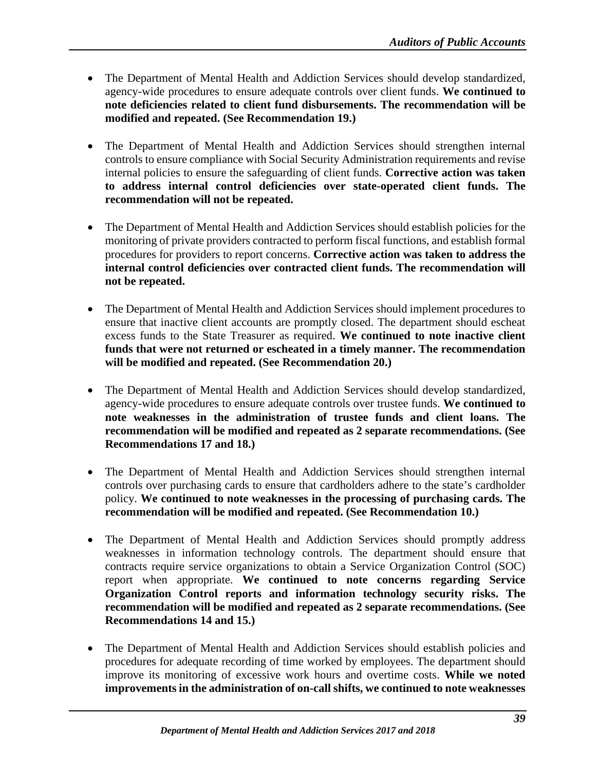- The Department of Mental Health and Addiction Services should develop standardized, agency-wide procedures to ensure adequate controls over client funds. **We continued to note deficiencies related to client fund disbursements. The recommendation will be modified and repeated. (See Recommendation 19.)**
- The Department of Mental Health and Addiction Services should strengthen internal controls to ensure compliance with Social Security Administration requirements and revise internal policies to ensure the safeguarding of client funds. **Corrective action was taken to address internal control deficiencies over state-operated client funds. The recommendation will not be repeated.**
- The Department of Mental Health and Addiction Services should establish policies for the monitoring of private providers contracted to perform fiscal functions, and establish formal procedures for providers to report concerns. **Corrective action was taken to address the internal control deficiencies over contracted client funds. The recommendation will not be repeated.**
- The Department of Mental Health and Addiction Services should implement procedures to ensure that inactive client accounts are promptly closed. The department should escheat excess funds to the State Treasurer as required. **We continued to note inactive client funds that were not returned or escheated in a timely manner. The recommendation will be modified and repeated. (See Recommendation 20.)**
- The Department of Mental Health and Addiction Services should develop standardized, agency-wide procedures to ensure adequate controls over trustee funds. **We continued to note weaknesses in the administration of trustee funds and client loans. The recommendation will be modified and repeated as 2 separate recommendations. (See Recommendations 17 and 18.)**
- The Department of Mental Health and Addiction Services should strengthen internal controls over purchasing cards to ensure that cardholders adhere to the state's cardholder policy. **We continued to note weaknesses in the processing of purchasing cards. The recommendation will be modified and repeated. (See Recommendation 10.)**
- The Department of Mental Health and Addiction Services should promptly address weaknesses in information technology controls. The department should ensure that contracts require service organizations to obtain a Service Organization Control (SOC) report when appropriate. **We continued to note concerns regarding Service Organization Control reports and information technology security risks. The recommendation will be modified and repeated as 2 separate recommendations. (See Recommendations 14 and 15.)**
- The Department of Mental Health and Addiction Services should establish policies and procedures for adequate recording of time worked by employees. The department should improve its monitoring of excessive work hours and overtime costs. **While we noted improvements in the administration of on-call shifts, we continued to note weaknesses**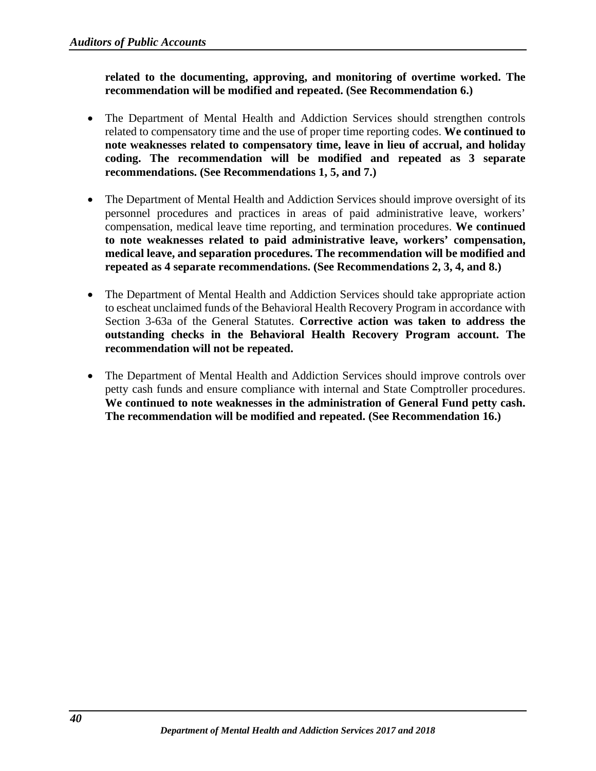**related to the documenting, approving, and monitoring of overtime worked. The recommendation will be modified and repeated. (See Recommendation 6.)**

- The Department of Mental Health and Addiction Services should strengthen controls related to compensatory time and the use of proper time reporting codes. **We continued to note weaknesses related to compensatory time, leave in lieu of accrual, and holiday coding. The recommendation will be modified and repeated as 3 separate recommendations. (See Recommendations 1, 5, and 7.)**
- The Department of Mental Health and Addiction Services should improve oversight of its personnel procedures and practices in areas of paid administrative leave, workers' compensation, medical leave time reporting, and termination procedures. **We continued to note weaknesses related to paid administrative leave, workers' compensation, medical leave, and separation procedures. The recommendation will be modified and repeated as 4 separate recommendations. (See Recommendations 2, 3, 4, and 8.)**
- The Department of Mental Health and Addiction Services should take appropriate action to escheat unclaimed funds of the Behavioral Health Recovery Program in accordance with Section 3-63a of the General Statutes. **Corrective action was taken to address the outstanding checks in the Behavioral Health Recovery Program account. The recommendation will not be repeated.**
- The Department of Mental Health and Addiction Services should improve controls over petty cash funds and ensure compliance with internal and State Comptroller procedures. **We continued to note weaknesses in the administration of General Fund petty cash. The recommendation will be modified and repeated. (See Recommendation 16.)**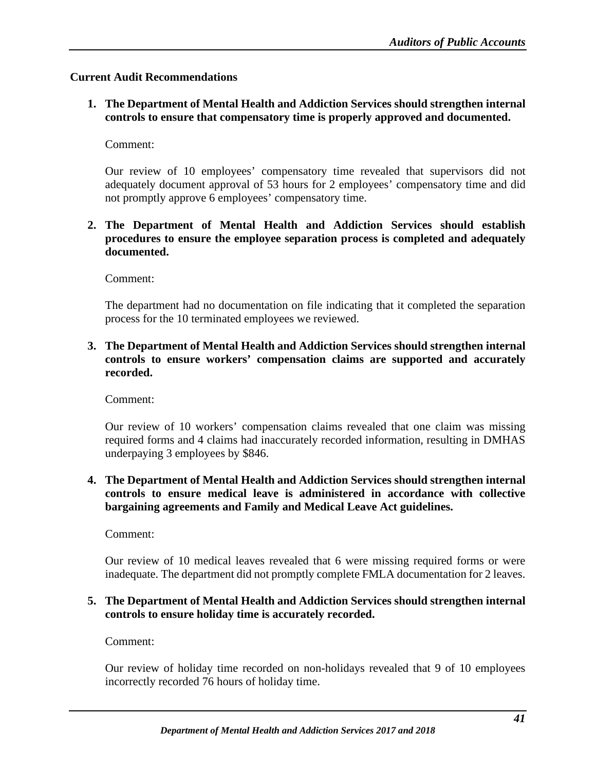# <span id="page-43-0"></span>**Current Audit Recommendations**

**1. The Department of Mental Health and Addiction Services should strengthen internal controls to ensure that compensatory time is properly approved and documented.**

# Comment:

Our review of 10 employees' compensatory time revealed that supervisors did not adequately document approval of 53 hours for 2 employees' compensatory time and did not promptly approve 6 employees' compensatory time.

**2. The Department of Mental Health and Addiction Services should establish procedures to ensure the employee separation process is completed and adequately documented.**

Comment:

The department had no documentation on file indicating that it completed the separation process for the 10 terminated employees we reviewed.

# **3. The Department of Mental Health and Addiction Services should strengthen internal controls to ensure workers' compensation claims are supported and accurately recorded.**

Comment:

Our review of 10 workers' compensation claims revealed that one claim was missing required forms and 4 claims had inaccurately recorded information, resulting in DMHAS underpaying 3 employees by \$846.

**4. The Department of Mental Health and Addiction Services should strengthen internal controls to ensure medical leave is administered in accordance with collective bargaining agreements and Family and Medical Leave Act guidelines.**

Comment:

Our review of 10 medical leaves revealed that 6 were missing required forms or were inadequate. The department did not promptly complete FMLA documentation for 2 leaves.

# **5. The Department of Mental Health and Addiction Services should strengthen internal controls to ensure holiday time is accurately recorded.**

Comment:

Our review of holiday time recorded on non-holidays revealed that 9 of 10 employees incorrectly recorded 76 hours of holiday time.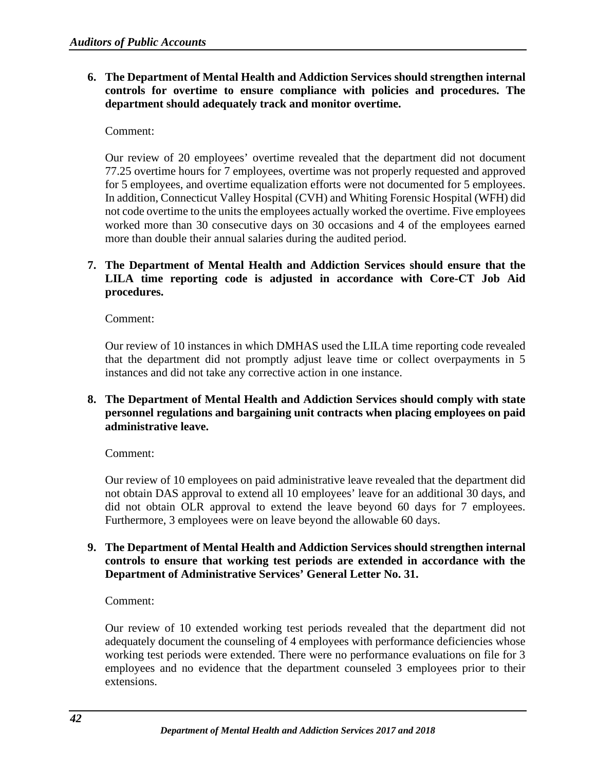**6. The Department of Mental Health and Addiction Services should strengthen internal controls for overtime to ensure compliance with policies and procedures. The department should adequately track and monitor overtime.**

# Comment:

Our review of 20 employees' overtime revealed that the department did not document 77.25 overtime hours for 7 employees, overtime was not properly requested and approved for 5 employees, and overtime equalization efforts were not documented for 5 employees. In addition, Connecticut Valley Hospital (CVH) and Whiting Forensic Hospital (WFH) did not code overtime to the units the employees actually worked the overtime. Five employees worked more than 30 consecutive days on 30 occasions and 4 of the employees earned more than double their annual salaries during the audited period.

# **7. The Department of Mental Health and Addiction Services should ensure that the LILA time reporting code is adjusted in accordance with Core-CT Job Aid procedures.**

Comment:

Our review of 10 instances in which DMHAS used the LILA time reporting code revealed that the department did not promptly adjust leave time or collect overpayments in 5 instances and did not take any corrective action in one instance.

**8. The Department of Mental Health and Addiction Services should comply with state personnel regulations and bargaining unit contracts when placing employees on paid administrative leave.**

Comment:

Our review of 10 employees on paid administrative leave revealed that the department did not obtain DAS approval to extend all 10 employees' leave for an additional 30 days, and did not obtain OLR approval to extend the leave beyond 60 days for 7 employees. Furthermore, 3 employees were on leave beyond the allowable 60 days.

# **9. The Department of Mental Health and Addiction Services should strengthen internal controls to ensure that working test periods are extended in accordance with the Department of Administrative Services' General Letter No. 31.**

#### Comment:

Our review of 10 extended working test periods revealed that the department did not adequately document the counseling of 4 employees with performance deficiencies whose working test periods were extended. There were no performance evaluations on file for 3 employees and no evidence that the department counseled 3 employees prior to their extensions.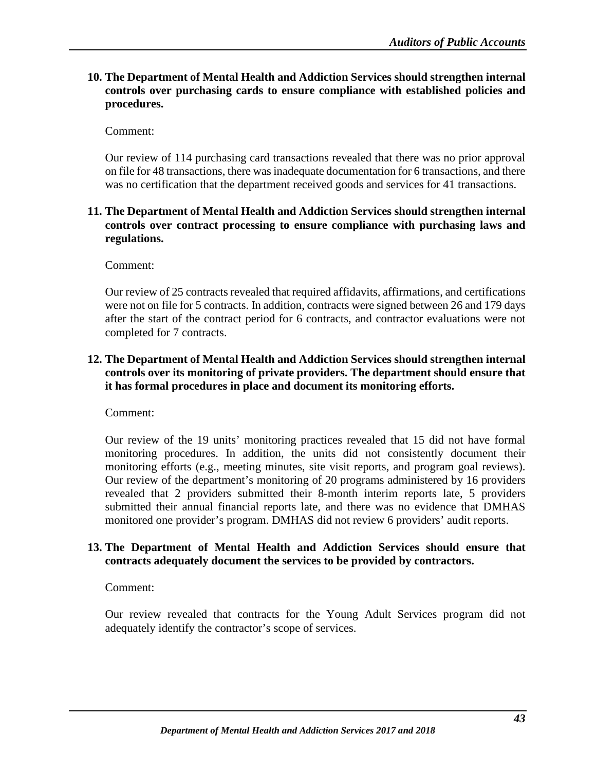**10. The Department of Mental Health and Addiction Services should strengthen internal controls over purchasing cards to ensure compliance with established policies and procedures.**

Comment:

Our review of 114 purchasing card transactions revealed that there was no prior approval on file for 48 transactions, there was inadequate documentation for 6 transactions, and there was no certification that the department received goods and services for 41 transactions.

# **11. The Department of Mental Health and Addiction Services should strengthen internal controls over contract processing to ensure compliance with purchasing laws and regulations.**

Comment:

Our review of 25 contracts revealed that required affidavits, affirmations, and certifications were not on file for 5 contracts. In addition, contracts were signed between 26 and 179 days after the start of the contract period for 6 contracts, and contractor evaluations were not completed for 7 contracts.

# **12. The Department of Mental Health and Addiction Services should strengthen internal controls over its monitoring of private providers. The department should ensure that it has formal procedures in place and document its monitoring efforts.**

Comment:

Our review of the 19 units' monitoring practices revealed that 15 did not have formal monitoring procedures. In addition, the units did not consistently document their monitoring efforts (e.g., meeting minutes, site visit reports, and program goal reviews). Our review of the department's monitoring of 20 programs administered by 16 providers revealed that 2 providers submitted their 8-month interim reports late, 5 providers submitted their annual financial reports late, and there was no evidence that DMHAS monitored one provider's program. DMHAS did not review 6 providers' audit reports.

# **13. The Department of Mental Health and Addiction Services should ensure that contracts adequately document the services to be provided by contractors.**

Comment:

Our review revealed that contracts for the Young Adult Services program did not adequately identify the contractor's scope of services.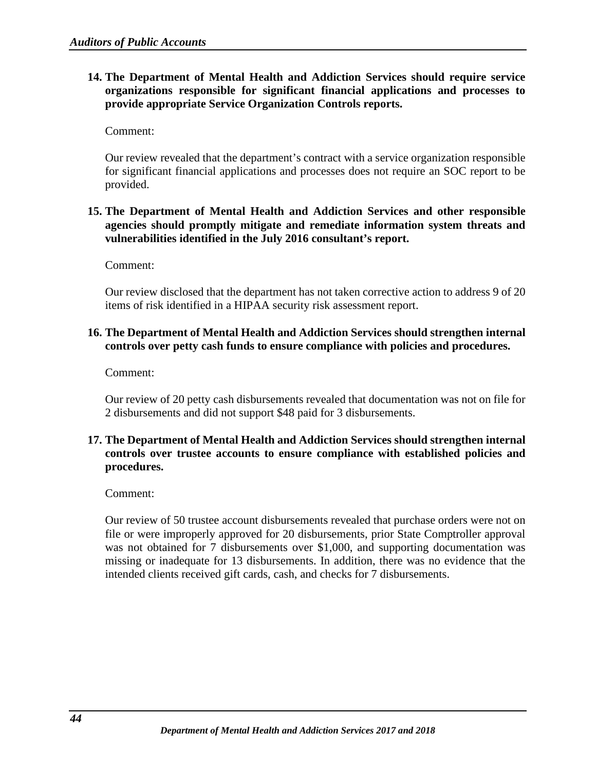# **14. The Department of Mental Health and Addiction Services should require service organizations responsible for significant financial applications and processes to provide appropriate Service Organization Controls reports.**

Comment:

Our review revealed that the department's contract with a service organization responsible for significant financial applications and processes does not require an SOC report to be provided.

# **15. The Department of Mental Health and Addiction Services and other responsible agencies should promptly mitigate and remediate information system threats and vulnerabilities identified in the July 2016 consultant's report.**

Comment:

Our review disclosed that the department has not taken corrective action to address 9 of 20 items of risk identified in a HIPAA security risk assessment report.

# **16. The Department of Mental Health and Addiction Services should strengthen internal controls over petty cash funds to ensure compliance with policies and procedures.**

Comment:

Our review of 20 petty cash disbursements revealed that documentation was not on file for 2 disbursements and did not support \$48 paid for 3 disbursements.

# **17. The Department of Mental Health and Addiction Services should strengthen internal controls over trustee accounts to ensure compliance with established policies and procedures.**

#### Comment:

Our review of 50 trustee account disbursements revealed that purchase orders were not on file or were improperly approved for 20 disbursements, prior State Comptroller approval was not obtained for 7 disbursements over \$1,000, and supporting documentation was missing or inadequate for 13 disbursements. In addition, there was no evidence that the intended clients received gift cards, cash, and checks for 7 disbursements.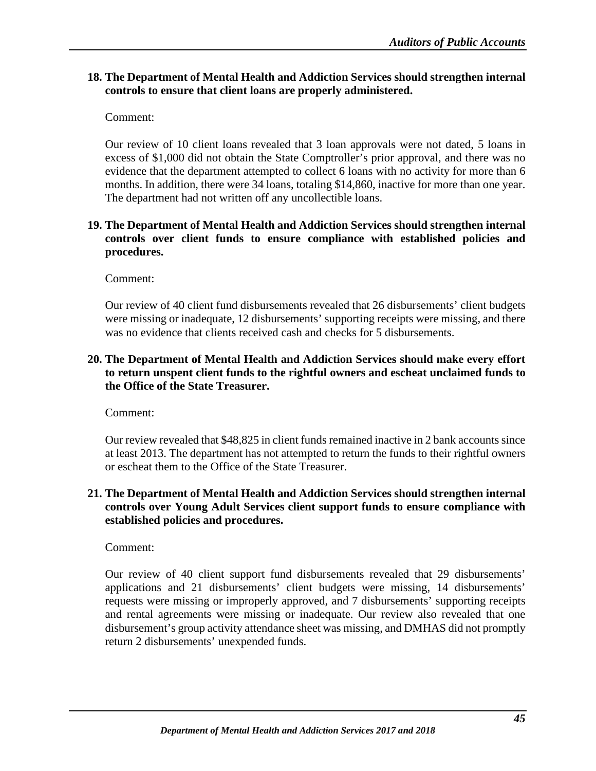# **18. The Department of Mental Health and Addiction Services should strengthen internal controls to ensure that client loans are properly administered.**

Comment:

Our review of 10 client loans revealed that 3 loan approvals were not dated, 5 loans in excess of \$1,000 did not obtain the State Comptroller's prior approval, and there was no evidence that the department attempted to collect 6 loans with no activity for more than 6 months. In addition, there were 34 loans, totaling \$14,860, inactive for more than one year. The department had not written off any uncollectible loans.

# **19. The Department of Mental Health and Addiction Services should strengthen internal controls over client funds to ensure compliance with established policies and procedures.**

Comment:

Our review of 40 client fund disbursements revealed that 26 disbursements' client budgets were missing or inadequate, 12 disbursements' supporting receipts were missing, and there was no evidence that clients received cash and checks for 5 disbursements.

# **20. The Department of Mental Health and Addiction Services should make every effort to return unspent client funds to the rightful owners and escheat unclaimed funds to the Office of the State Treasurer.**

Comment:

Our review revealed that \$48,825 in client funds remained inactive in 2 bank accounts since at least 2013. The department has not attempted to return the funds to their rightful owners or escheat them to the Office of the State Treasurer.

# **21. The Department of Mental Health and Addiction Services should strengthen internal controls over Young Adult Services client support funds to ensure compliance with established policies and procedures.**

Comment:

Our review of 40 client support fund disbursements revealed that 29 disbursements' applications and 21 disbursements' client budgets were missing, 14 disbursements' requests were missing or improperly approved, and 7 disbursements' supporting receipts and rental agreements were missing or inadequate. Our review also revealed that one disbursement's group activity attendance sheet was missing, and DMHAS did not promptly return 2 disbursements' unexpended funds.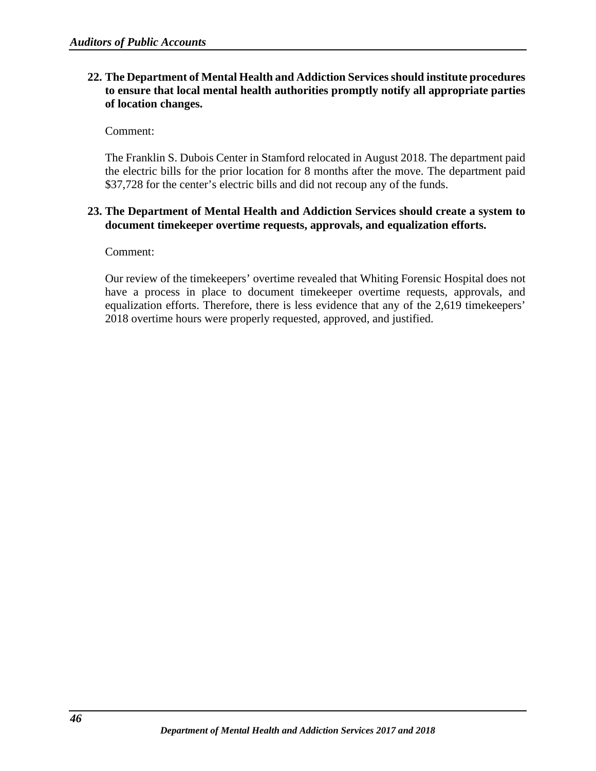# **22. The Department of Mental Health and Addiction Services should institute procedures to ensure that local mental health authorities promptly notify all appropriate parties of location changes.**

Comment:

The Franklin S. Dubois Center in Stamford relocated in August 2018. The department paid the electric bills for the prior location for 8 months after the move. The department paid \$37,728 for the center's electric bills and did not recoup any of the funds.

# **23. The Department of Mental Health and Addiction Services should create a system to document timekeeper overtime requests, approvals, and equalization efforts.**

Comment:

Our review of the timekeepers' overtime revealed that Whiting Forensic Hospital does not have a process in place to document timekeeper overtime requests, approvals, and equalization efforts. Therefore, there is less evidence that any of the 2,619 timekeepers' 2018 overtime hours were properly requested, approved, and justified.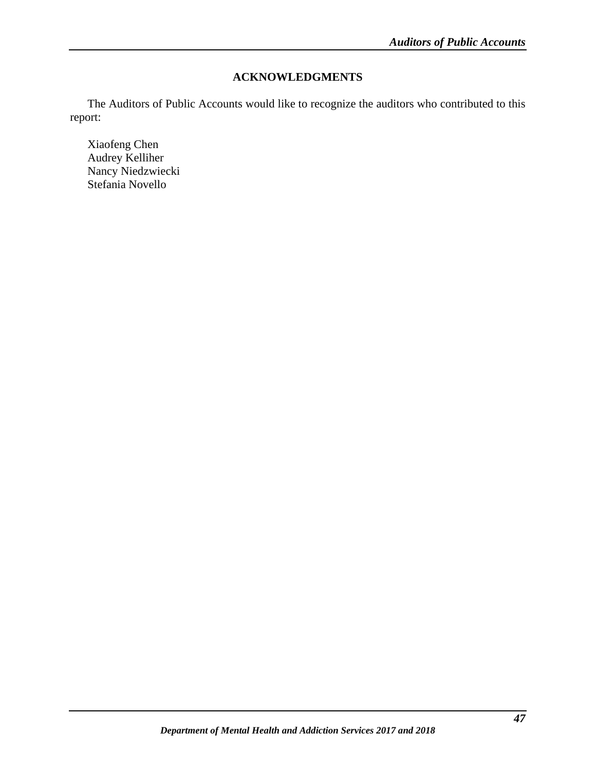# **ACKNOWLEDGMENTS**

<span id="page-49-0"></span>The Auditors of Public Accounts would like to recognize the auditors who contributed to this report:

Xiaofeng Chen Audrey Kelliher Nancy Niedzwiecki Stefania Novello